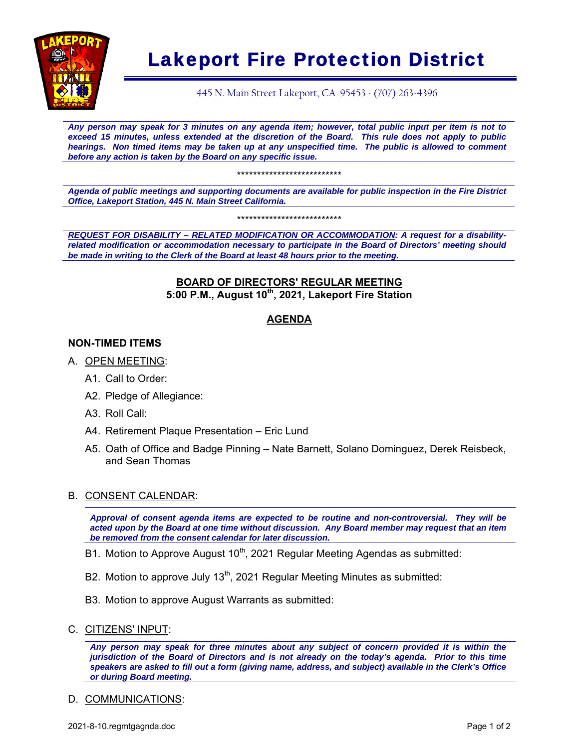

## Lakeport Fire Protection District

445 N. Main Street Lakeport, CA 95453 - (707) 263-4396

*Any person may speak for 3 minutes on any agenda item; however, total public input per item is not to exceed 15 minutes, unless extended at the discretion of the Board. This rule does not apply to public hearings. Non timed items may be taken up at any unspecified time. The public is allowed to comment before any action is taken by the Board on any specific issue.* 

\*\*\*\*\*\*\*\*\*\*\*\*\*\*\*\*\*\*\*\*\*\*\*\*\*\*

*Agenda of public meetings and supporting documents are available for public inspection in the Fire District Office, Lakeport Station, 445 N. Main Street California.* 

\*\*\*\*\*\*\*\*\*\*\*\*\*\*\*\*\*\*\*\*\*\*\*\*\*\*

*REQUEST FOR DISABILITY – RELATED MODIFICATION OR ACCOMMODATION: A request for a disabilityrelated modification or accommodation necessary to participate in the Board of Directors' meeting should be made in writing to the Clerk of the Board at least 48 hours prior to the meeting.* 

#### **BOARD OF DIRECTORS' REGULAR MEETING 5:00 P.M., August 10th, 2021, Lakeport Fire Station**

#### **AGENDA**

#### **NON-TIMED ITEMS**

- A. OPEN MEETING:
	- A1. Call to Order:
	- A2. Pledge of Allegiance:
	- A3. Roll Call:
	- A4. Retirement Plaque Presentation Eric Lund
	- A5. Oath of Office and Badge Pinning Nate Barnett, Solano Dominguez, Derek Reisbeck, and Sean Thomas

#### B. CONSENT CALENDAR:

*Approval of consent agenda items are expected to be routine and non-controversial. They will be acted upon by the Board at one time without discussion. Any Board member may request that an item be removed from the consent calendar for later discussion.*

- B1. Motion to Approve August  $10<sup>th</sup>$ , 2021 Regular Meeting Agendas as submitted:
- B2. Motion to approve July 13<sup>th</sup>, 2021 Regular Meeting Minutes as submitted:
- B3. Motion to approve August Warrants as submitted:
- C. CITIZENS' INPUT:

*Any person may speak for three minutes about any subject of concern provided it is within the jurisdiction of the Board of Directors and is not already on the today's agenda. Prior to this time speakers are asked to fill out a form (giving name, address, and subject) available in the Clerk's Office or during Board meeting.* 

#### D. COMMUNICATIONS: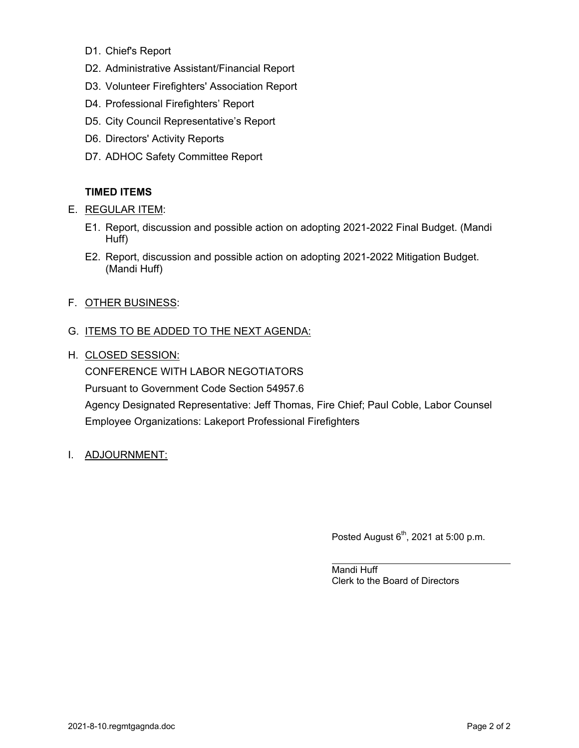- D1. Chief's Report
- D2. Administrative Assistant/Financial Report
- D3. Volunteer Firefighters' Association Report
- D4. Professional Firefighters' Report
- D5. City Council Representative's Report
- D6. Directors' Activity Reports
- D7. ADHOC Safety Committee Report

#### **TIMED ITEMS**

- E. REGULAR ITEM:
	- E1. Report, discussion and possible action on adopting 2021-2022 Final Budget. (Mandi Huff)
	- E2. Report, discussion and possible action on adopting 2021-2022 Mitigation Budget. (Mandi Huff)
- F. OTHER BUSINESS:

#### G. ITEMS TO BE ADDED TO THE NEXT AGENDA:

H. CLOSED SESSION:

CONFERENCE WITH LABOR NEGOTIATORS Pursuant to Government Code Section 54957.6 Agency Designated Representative: Jeff Thomas, Fire Chief; Paul Coble, Labor Counsel Employee Organizations: Lakeport Professional Firefighters

I. ADJOURNMENT:

Posted August  $6<sup>th</sup>$ , 2021 at 5:00 p.m.

Mandi Huff Clerk to the Board of Directors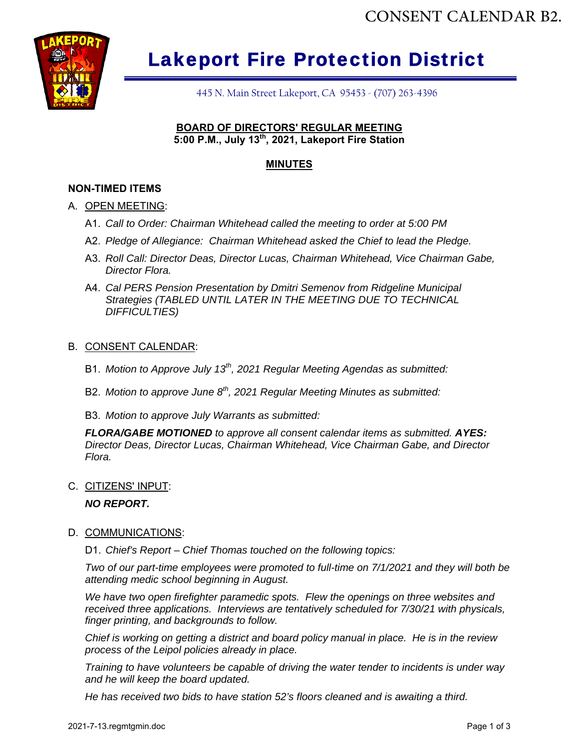

## Lakeport Fire Protection District

445 N. Main Street Lakeport, CA 95453 - (707) 263-4396

#### **BOARD OF DIRECTORS' REGULAR MEETING 5:00 P.M., July 13th, 2021, Lakeport Fire Station**

#### **MINUTES**

#### **NON-TIMED ITEMS**

#### A. OPEN MEETING:

- A1. *Call to Order: Chairman Whitehead called the meeting to order at 5:00 PM*
- A2. *Pledge of Allegiance: Chairman Whitehead asked the Chief to lead the Pledge.*
- A3. *Roll Call: Director Deas, Director Lucas, Chairman Whitehead, Vice Chairman Gabe, Director Flora.*
- A4. *Cal PERS Pension Presentation by Dmitri Semenov from Ridgeline Municipal Strategies (TABLED UNTIL LATER IN THE MEETING DUE TO TECHNICAL DIFFICULTIES)*

#### B. CONSENT CALENDAR:

- B1. *Motion to Approve July 13th, 2021 Regular Meeting Agendas as submitted:*
- B2. *Motion to approve June 8th, 2021 Regular Meeting Minutes as submitted:*
- B3. *Motion to approve July Warrants as submitted:*

*FLORA/GABE MOTIONED to approve all consent calendar items as submitted. AYES: Director Deas, Director Lucas, Chairman Whitehead, Vice Chairman Gabe, and Director Flora.* 

C. CITIZENS' INPUT:

#### *NO REPORT.*

D. COMMUNICATIONS:

D1. *Chief's Report – Chief Thomas touched on the following topics:* 

*Two of our part-time employees were promoted to full-time on 7/1/2021 and they will both be attending medic school beginning in August.* 

*We have two open firefighter paramedic spots. Flew the openings on three websites and received three applications. Interviews are tentatively scheduled for 7/30/21 with physicals, finger printing, and backgrounds to follow.*  **Lakeport Fire Protection District**<br> **He has received the station 52's floors cleaned and is a station 52's floors cleaned and is a received to the station 52's floors cleaned and is a received to have stated and is a rece** 

*Chief is working on getting a district and board policy manual in place. He is in the review process of the Leipol policies already in place.* 

*Training to have volunteers be capable of driving the water tender to incidents is under way and he will keep the board updated.*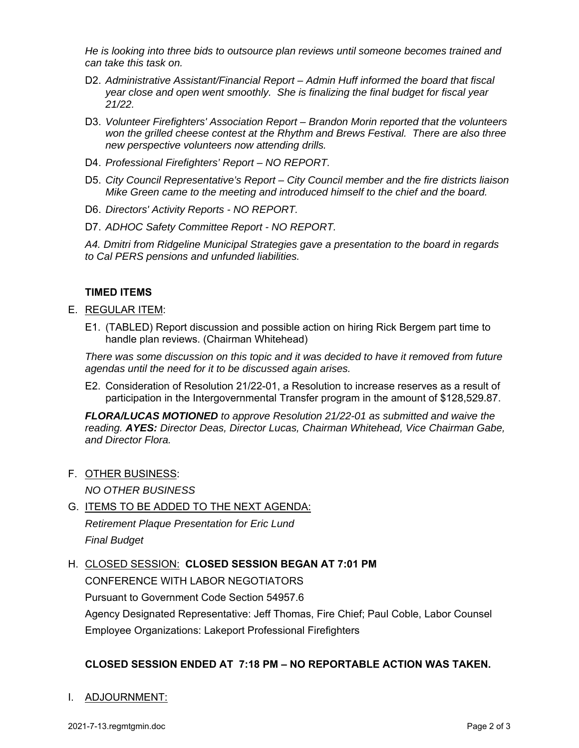*He is looking into three bids to outsource plan reviews until someone becomes trained and can take this task on.* 

- D2. *Administrative Assistant/Financial Report Admin Huff informed the board that fiscal year close and open went smoothly. She is finalizing the final budget for fiscal year 21/22.*
- D3. *Volunteer Firefighters' Association Report Brandon Morin reported that the volunteers won the grilled cheese contest at the Rhythm and Brews Festival. There are also three new perspective volunteers now attending drills.*
- D4. *Professional Firefighters' Report NO REPORT.*
- D5. *City Council Representative's Report City Council member and the fire districts liaison Mike Green came to the meeting and introduced himself to the chief and the board.*
- D6. *Directors' Activity Reports NO REPORT.*
- D7. *ADHOC Safety Committee Report NO REPORT.*

*A4. Dmitri from Ridgeline Municipal Strategies gave a presentation to the board in regards to Cal PERS pensions and unfunded liabilities.* 

#### **TIMED ITEMS**

- E. REGULAR ITEM:
	- E1. (TABLED) Report discussion and possible action on hiring Rick Bergem part time to handle plan reviews. (Chairman Whitehead)

*There was some discussion on this topic and it was decided to have it removed from future agendas until the need for it to be discussed again arises.* 

E2. Consideration of Resolution 21/22-01, a Resolution to increase reserves as a result of participation in the Intergovernmental Transfer program in the amount of \$128,529.87.

*FLORA/LUCAS MOTIONED to approve Resolution 21/22-01 as submitted and waive the reading. AYES: Director Deas, Director Lucas, Chairman Whitehead, Vice Chairman Gabe, and Director Flora.*

F. OTHER BUSINESS:

*NO OTHER BUSINESS* 

- G. ITEMS TO BE ADDED TO THE NEXT AGENDA: *Retirement Plaque Presentation for Eric Lund Final Budget*
- H. CLOSED SESSION: **CLOSED SESSION BEGAN AT 7:01 PM**

CONFERENCE WITH LABOR NEGOTIATORS

Pursuant to Government Code Section 54957.6

Agency Designated Representative: Jeff Thomas, Fire Chief; Paul Coble, Labor Counsel Employee Organizations: Lakeport Professional Firefighters

#### **CLOSED SESSION ENDED AT 7:18 PM – NO REPORTABLE ACTION WAS TAKEN.**

#### I. ADJOURNMENT: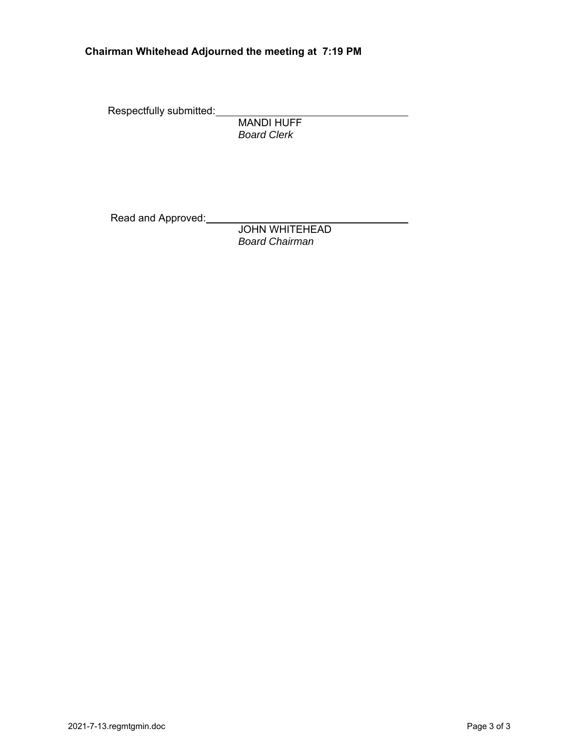#### **Chairman Whitehead Adjourned the meeting at 7:19 PM**

Respectfully submitted:

 MANDI HUFF  *Board Clerk* 

Read and Approved:

 JOHN WHITEHEAD *Board Chairman*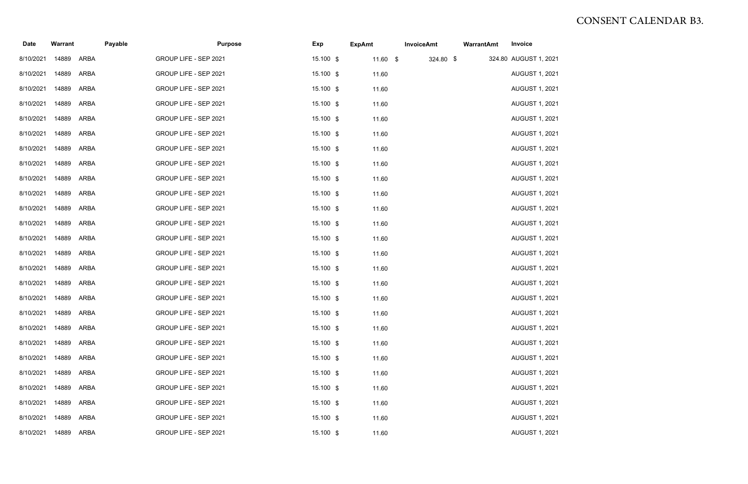| <b>Date</b>          | <b>Warrant</b> |             | Payable |                       | <b>Purpose</b> | <b>Exp</b> | <b>ExpAmt</b> |            | <b>InvoiceAmt</b> | <b>WarrantAmt</b> | Invoice               |
|----------------------|----------------|-------------|---------|-----------------------|----------------|------------|---------------|------------|-------------------|-------------------|-----------------------|
| 8/10/2021            | 14889          | ARBA        |         | GROUP LIFE - SEP 2021 |                | 15.100 \$  |               | $11.60$ \$ | 324.80 \$         |                   | 324.80 AUGUST 1, 2021 |
| 8/10/2021            | 14889          | ARBA        |         | GROUP LIFE - SEP 2021 |                | 15.100 \$  |               | 11.60      |                   |                   | <b>AUGUST 1, 2021</b> |
| 8/10/2021            | 14889          | ARBA        |         | GROUP LIFE - SEP 2021 |                | 15.100 \$  |               | 11.60      |                   |                   | <b>AUGUST 1, 2021</b> |
| 8/10/2021            | 14889          | ARBA        |         | GROUP LIFE - SEP 2021 |                | 15.100 \$  |               | 11.60      |                   |                   | <b>AUGUST 1, 2021</b> |
| 8/10/2021            | 14889          | ARBA        |         | GROUP LIFE - SEP 2021 |                | 15.100 \$  |               | 11.60      |                   |                   | <b>AUGUST 1, 2021</b> |
| 8/10/2021            | 14889          | ARBA        |         | GROUP LIFE - SEP 2021 |                | 15.100 \$  |               | 11.60      |                   |                   | <b>AUGUST 1, 2021</b> |
| 8/10/2021            | 14889          | ARBA        |         | GROUP LIFE - SEP 2021 |                | 15.100 \$  |               | 11.60      |                   |                   | <b>AUGUST 1, 2021</b> |
| 8/10/2021            | 14889          | <b>ARBA</b> |         | GROUP LIFE - SEP 2021 |                | 15.100 \$  |               | 11.60      |                   |                   | <b>AUGUST 1, 2021</b> |
| 8/10/2021            | 14889          | <b>ARBA</b> |         | GROUP LIFE - SEP 2021 |                | 15.100 \$  |               | 11.60      |                   |                   | <b>AUGUST 1, 2021</b> |
| 8/10/2021            | 14889          | <b>ARBA</b> |         | GROUP LIFE - SEP 2021 |                | 15.100 \$  |               | 11.60      |                   |                   | <b>AUGUST 1, 2021</b> |
| 8/10/2021            | 14889          | ARBA        |         | GROUP LIFE - SEP 2021 |                | 15.100 \$  |               | 11.60      |                   |                   | <b>AUGUST 1, 2021</b> |
| 8/10/2021            | 14889          | <b>ARBA</b> |         | GROUP LIFE - SEP 2021 |                | 15.100 \$  |               | 11.60      |                   |                   | <b>AUGUST 1, 2021</b> |
| 8/10/2021            | 14889          | ARBA        |         | GROUP LIFE - SEP 2021 |                | 15.100 \$  |               | 11.60      |                   |                   | <b>AUGUST 1, 2021</b> |
| 8/10/2021            | 14889          | <b>ARBA</b> |         | GROUP LIFE - SEP 2021 |                | 15.100 \$  |               | 11.60      |                   |                   | <b>AUGUST 1, 2021</b> |
| 8/10/2021            | 14889          | ARBA        |         | GROUP LIFE - SEP 2021 |                | 15.100 \$  |               | 11.60      |                   |                   | <b>AUGUST 1, 2021</b> |
| 8/10/2021            | 14889          | ARBA        |         | GROUP LIFE - SEP 2021 |                | 15.100 \$  |               | 11.60      |                   |                   | <b>AUGUST 1, 2021</b> |
| 8/10/2021            | 14889          | ARBA        |         | GROUP LIFE - SEP 2021 |                | 15.100 \$  |               | 11.60      |                   |                   | <b>AUGUST 1, 2021</b> |
| 8/10/2021 14889 ARBA |                |             |         | GROUP LIFE - SEP 2021 |                | 15.100 \$  |               | 11.60      |                   |                   | <b>AUGUST 1, 2021</b> |
| 8/10/2021            | 14889 ARBA     |             |         | GROUP LIFE - SEP 2021 |                | 15.100 \$  |               | 11.60      |                   |                   | <b>AUGUST 1, 2021</b> |
| 8/10/2021            | 14889          | ARBA        |         | GROUP LIFE - SEP 2021 |                | 15.100 \$  |               | 11.60      |                   |                   | <b>AUGUST 1, 2021</b> |
| 8/10/2021            | 14889          | ARBA        |         | GROUP LIFE - SEP 2021 |                | 15.100 \$  |               | 11.60      |                   |                   | <b>AUGUST 1, 2021</b> |
| 8/10/2021            | 14889 ARBA     |             |         | GROUP LIFE - SEP 2021 |                | 15.100 \$  |               | 11.60      |                   |                   | <b>AUGUST 1, 2021</b> |
| 8/10/2021            | 14889          | ARBA        |         | GROUP LIFE - SEP 2021 |                | 15.100 \$  |               | 11.60      |                   |                   | <b>AUGUST 1, 2021</b> |
| 8/10/2021            | 14889          | ARBA        |         | GROUP LIFE - SEP 2021 |                | 15.100 \$  |               | 11.60      |                   |                   | <b>AUGUST 1, 2021</b> |
| 8/10/2021            | 14889          | ARBA        |         | GROUP LIFE - SEP 2021 |                | 15.100 \$  |               | 11.60      |                   |                   | <b>AUGUST 1, 2021</b> |
| 8/10/2021            | 14889 ARBA     |             |         | GROUP LIFE - SEP 2021 |                | 15.100 \$  |               | 11.60      |                   |                   | <b>AUGUST 1, 2021</b> |

# CONSENT CALENDAR B3.

- 
- 
- 
- 
- 
- 
- 
- 
- 
- 
- 
- 
- 
- 
- 
- 
- 
- 
- 
- 
- 
- 
- 
- 
- 
- 
- 
-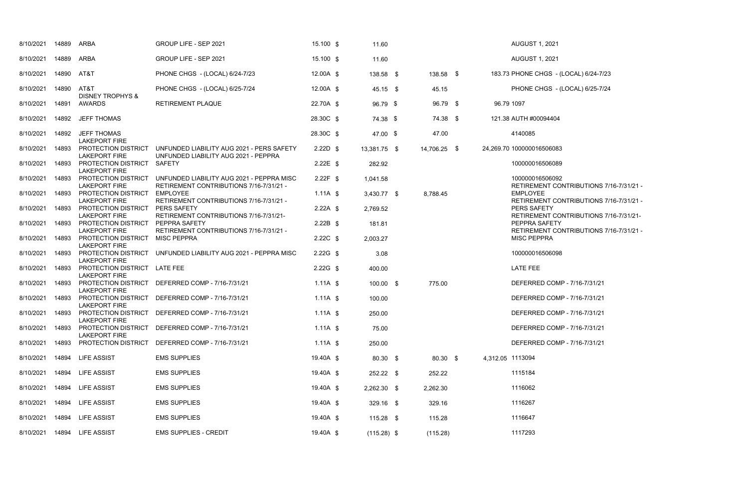RETIREMENT CONTRIBUTIONS 7/16-7/31/21 - RETIREMENT CONTRIBUTIONS 7/16-7/31/21 - PY S RETIREMENT CONTRIBUTIONS 7/16-7/31/21- FETY RETIREMENT CONTRIBUTIONS 7/16-7/31/21 -

COMP - 7/16-7/31/21

COMP - 7/16-7/31/21

COMP - 7/16-7/31/21

COMP - 7/16-7/31/21

COMP - 7/16-7/31/21

| 8/10/2021       | 14889 | <b>ARBA</b>                                          | GROUP LIFE - SEP 2021                                                                | 15.100 \$  | 11.60         |              |                  | <b>AUGUST 1, 2021</b>                   |
|-----------------|-------|------------------------------------------------------|--------------------------------------------------------------------------------------|------------|---------------|--------------|------------------|-----------------------------------------|
| 8/10/2021       | 14889 | <b>ARBA</b>                                          | GROUP LIFE - SEP 2021                                                                | 15.100 \$  | 11.60         |              |                  | <b>AUGUST 1, 2021</b>                   |
| 8/10/2021       | 14890 | AT&T                                                 | PHONE CHGS - (LOCAL) 6/24-7/23                                                       | 12.00A \$  | 138.58 \$     | 138.58 \$    |                  | 183.73 PHONE CHGS - (                   |
| 8/10/2021       | 14890 | AT&T                                                 | PHONE CHGS - (LOCAL) 6/25-7/24                                                       | 12.00A \$  | 45.15 \$      | 45.15        |                  | PHONE CHGS - (                          |
| 8/10/2021       | 14891 | <b>DISNEY TROPHYS &amp;</b><br><b>AWARDS</b>         | <b>RETIREMENT PLAQUE</b>                                                             | 22.70A \$  | 96.79 \$      | 96.79 \$     | 96.79 1097       |                                         |
| 8/10/2021       | 14892 | <b>JEFF THOMAS</b>                                   |                                                                                      | 28.30C \$  | 74.38 \$      | 74.38 \$     |                  | 121.38 AUTH #00094404                   |
| 8/10/2021       | 14892 | <b>JEFF THOMAS</b><br><b>LAKEPORT FIRE</b>           |                                                                                      | 28.30C \$  | 47.00 \$      | 47.00        |                  | 4140085                                 |
| 8/10/2021       | 14893 | PROTECTION DISTRICT<br><b>LAKEPORT FIRE</b>          | UNFUNDED LIABILITY AUG 2021 - PERS SAFETY<br>UNFUNDED LIABILITY AUG 2021 - PEPPRA    | $2.22D$ \$ | 13,381.75 \$  | 14,706.25 \$ |                  | 24,269.70 100000016506083               |
| 8/10/2021       | 14893 | PROTECTION DISTRICT<br><b>LAKEPORT FIRE</b>          | <b>SAFETY</b>                                                                        | $2.22E$ \$ | 282.92        |              |                  | 100000016506089                         |
| 8/10/2021       | 14893 | PROTECTION DISTRICT<br><b>LAKEPORT FIRE</b>          | UNFUNDED LIABILITY AUG 2021 - PEPPRA MISC<br>RETIREMENT CONTRIBUTIONS 7/16-7/31/21 - | $2.22F$ \$ | 1,041.58      |              |                  | 100000016506092<br><b>RETIREMENT CO</b> |
| 8/10/2021       | 14893 | PROTECTION DISTRICT<br><b>LAKEPORT FIRE</b>          | <b>EMPLOYEE</b><br>RETIREMENT CONTRIBUTIONS 7/16-7/31/21 -                           | $1.11A$ \$ | 3,430.77 \$   | 8,788.45     |                  | <b>EMPLOYEE</b><br><b>RETIREMENT CO</b> |
| 8/10/2021       | 14893 | PROTECTION DISTRICT<br><b>LAKEPORT FIRE</b>          | PERS SAFETY<br>RETIREMENT CONTRIBUTIONS 7/16-7/31/21-                                | $2.22A$ \$ | 2,769.52      |              |                  | PERS SAFETY<br><b>RETIREMENT CO</b>     |
| 8/10/2021       | 14893 | PROTECTION DISTRICT<br><b>LAKEPORT FIRE</b>          | PEPPRA SAFETY<br>RETIREMENT CONTRIBUTIONS 7/16-7/31/21 -                             | $2.22B$ \$ | 181.81        |              |                  | PEPPRA SAFETY<br><b>RETIREMENT CO</b>   |
| 8/10/2021       | 14893 | PROTECTION DISTRICT<br><b>LAKEPORT FIRE</b>          | <b>MISC PEPPRA</b>                                                                   | $2.22C$ \$ | 2,003.27      |              |                  | <b>MISC PEPPRA</b>                      |
| 8/10/2021       | 14893 | PROTECTION DISTRICT<br><b>LAKEPORT FIRE</b>          | UNFUNDED LIABILITY AUG 2021 - PEPPRA MISC                                            | $2.22G$ \$ | 3.08          |              |                  | 100000016506098                         |
| 8/10/2021       | 14893 | PROTECTION DISTRICT LATE FEE<br><b>LAKEPORT FIRE</b> |                                                                                      | $2.22G$ \$ | 400.00        |              |                  | <b>LATE FEE</b>                         |
| 8/10/2021       | 14893 | PROTECTION DISTRICT<br><b>LAKEPORT FIRE</b>          | DEFERRED COMP - 7/16-7/31/21                                                         | $1.11A$ \$ | 100.00 \$     | 775.00       |                  | <b>DEFERRED COM</b>                     |
| 8/10/2021       | 14893 | PROTECTION DISTRICT<br><b>LAKEPORT FIRE</b>          | DEFERRED COMP - 7/16-7/31/21                                                         | $1.11A$ \$ | 100.00        |              |                  | <b>DEFERRED COMI</b>                    |
| 8/10/2021 14893 |       | <b>LAKEPORT FIRE</b>                                 | PROTECTION DISTRICT DEFERRED COMP - 7/16-7/31/21                                     | $1.11A$ \$ | 250.00        |              |                  | DEFERRED COMI                           |
| 8/10/2021       | 14893 | PROTECTION DISTRICT<br><b>LAKEPORT FIRE</b>          | DEFERRED COMP - 7/16-7/31/21                                                         | 1.11A $$$  | 75.00         |              |                  | <b>DEFERRED COM</b>                     |
| 8/10/2021       | 14893 | PROTECTION DISTRICT                                  | DEFERRED COMP - 7/16-7/31/21                                                         | 1.11A $$$  | 250.00        |              |                  | DEFERRED COM                            |
| 8/10/2021       | 14894 | <b>LIFE ASSIST</b>                                   | <b>EMS SUPPLIES</b>                                                                  | 19.40A \$  | 80.30 \$      | 80.30 \$     | 4,312.05 1113094 |                                         |
| 8/10/2021       | 14894 | <b>LIFE ASSIST</b>                                   | <b>EMS SUPPLIES</b>                                                                  | 19.40A \$  | 252.22 \$     | 252.22       |                  | 1115184                                 |
| 8/10/2021       | 14894 | <b>LIFE ASSIST</b>                                   | <b>EMS SUPPLIES</b>                                                                  | 19.40A \$  | $2,262.30$ \$ | 2,262.30     |                  | 1116062                                 |
| 8/10/2021       | 14894 | <b>LIFE ASSIST</b>                                   | <b>EMS SUPPLIES</b>                                                                  | 19.40A \$  | 329.16 \$     | 329.16       |                  | 1116267                                 |
| 8/10/2021       | 14894 | <b>LIFE ASSIST</b>                                   | <b>EMS SUPPLIES</b>                                                                  | 19.40A \$  | $115.28$ \$   | 115.28       |                  | 1116647                                 |
| 8/10/2021       | 14894 | <b>LIFE ASSIST</b>                                   | <b>EMS SUPPLIES - CREDIT</b>                                                         | 19.40A \$  | $(115.28)$ \$ | (115.28)     |                  | 1117293                                 |

8S - (LOCAL) 6/24-7/23

85 - (LOCAL) 6/25-7/24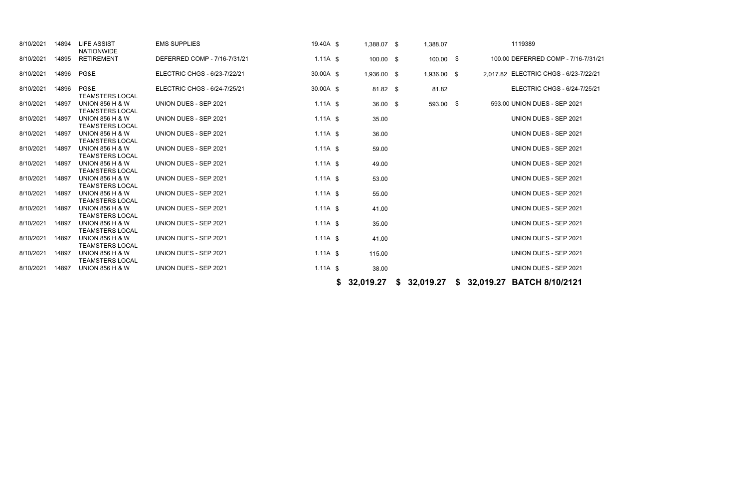| 8/10/2021 | 14894 | <b>LIFE ASSIST</b><br><b>NATIONWIDE</b>              | <b>EMS SUPPLIES</b>          | 19.40A \$  |    | 1,388.07 \$ | 1,388.07    |  | 1119389                                   |
|-----------|-------|------------------------------------------------------|------------------------------|------------|----|-------------|-------------|--|-------------------------------------------|
| 8/10/2021 | 14895 | <b>RETIREMENT</b>                                    | DEFERRED COMP - 7/16-7/31/21 | $1.11A$ \$ |    | 100.00 \$   | $100.00$ \$ |  | 100.00 DEFERRED COMP - 7/16-7/31/         |
| 8/10/2021 | 14896 | PG&E                                                 | ELECTRIC CHGS - 6/23-7/22/21 | 30.00A \$  |    | 1,936.00 \$ | 1,936.00 \$ |  | 2,017.82 ELECTRIC CHGS - 6/23-7/22/21     |
| 8/10/2021 | 14896 | PG&E<br><b>TEAMSTERS LOCAL</b>                       | ELECTRIC CHGS - 6/24-7/25/21 | 30.00A \$  |    | $81.82$ \$  | 81.82       |  | ELECTRIC CHGS - 6/24-7/25/21              |
| 8/10/2021 | 14897 | <b>UNION 856 H &amp; W</b><br><b>TEAMSTERS LOCAL</b> | UNION DUES - SEP 2021        | $1.11A$ \$ |    | $36.00$ \$  | 593.00 \$   |  | 593.00 UNION DUES - SEP 2021              |
| 8/10/2021 | 14897 | <b>UNION 856 H &amp; W</b><br><b>TEAMSTERS LOCAL</b> | UNION DUES - SEP 2021        | $1.11A$ \$ |    | 35.00       |             |  | UNION DUES - SEP 2021                     |
| 8/10/2021 | 14897 | <b>UNION 856 H &amp; W</b><br><b>TEAMSTERS LOCAL</b> | UNION DUES - SEP 2021        | $1.11A$ \$ |    | 36.00       |             |  | UNION DUES - SEP 2021                     |
| 8/10/2021 | 14897 | <b>UNION 856 H &amp; W</b><br><b>TEAMSTERS LOCAL</b> | UNION DUES - SEP 2021        | 1.11A $$$  |    | 59.00       |             |  | UNION DUES - SEP 2021                     |
| 8/10/2021 | 14897 | <b>UNION 856 H &amp; W</b><br><b>TEAMSTERS LOCAL</b> | UNION DUES - SEP 2021        | $1.11A$ \$ |    | 49.00       |             |  | UNION DUES - SEP 2021                     |
| 8/10/2021 | 14897 | <b>UNION 856 H &amp; W</b><br><b>TEAMSTERS LOCAL</b> | UNION DUES - SEP 2021        | $1.11A$ \$ |    | 53.00       |             |  | UNION DUES - SEP 2021                     |
| 8/10/2021 | 14897 | <b>UNION 856 H &amp; W</b><br><b>TEAMSTERS LOCAL</b> | UNION DUES - SEP 2021        | $1.11A$ \$ |    | 55.00       |             |  | UNION DUES - SEP 2021                     |
| 8/10/2021 | 14897 | <b>UNION 856 H &amp; W</b><br><b>TEAMSTERS LOCAL</b> | UNION DUES - SEP 2021        | $1.11A$ \$ |    | 41.00       |             |  | UNION DUES - SEP 2021                     |
| 8/10/2021 | 14897 | <b>UNION 856 H &amp; W</b><br><b>TEAMSTERS LOCAL</b> | UNION DUES - SEP 2021        | $1.11A$ \$ |    | 35.00       |             |  | UNION DUES - SEP 2021                     |
| 8/10/2021 | 14897 | <b>UNION 856 H &amp; W</b><br><b>TEAMSTERS LOCAL</b> | UNION DUES - SEP 2021        | $1.11A$ \$ |    | 41.00       |             |  | UNION DUES - SEP 2021                     |
| 8/10/2021 | 14897 | <b>UNION 856 H &amp; W</b><br><b>TEAMSTERS LOCAL</b> | UNION DUES - SEP 2021        | $1.11A$ \$ |    | 115.00      |             |  | UNION DUES - SEP 2021                     |
| 8/10/2021 | 14897 | <b>UNION 856 H &amp; W</b>                           | UNION DUES - SEP 2021        | 1.11A $$$  |    | 38.00       |             |  | UNION DUES - SEP 2021                     |
|           |       |                                                      |                              |            | S. | 32,019.27   |             |  | \$ 32,019.27 \$ 32,019.27 BATCH 8/10/2121 |

COMP - 7/16-7/31/21

- 
- 
- 
- 
- 
- 
- 
- 
- 
- 
- 
-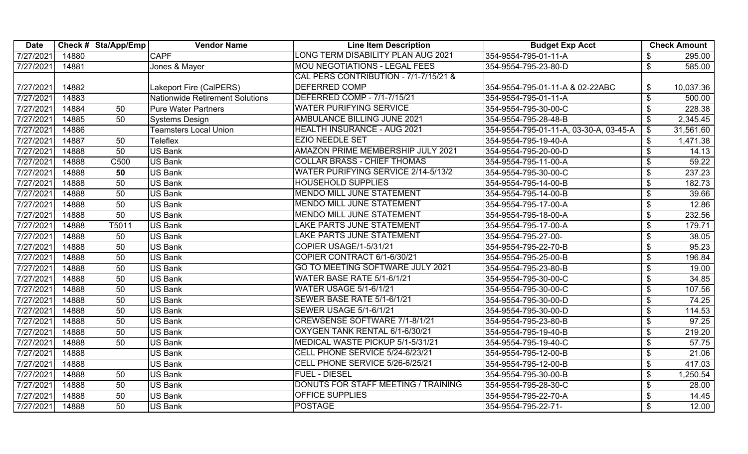| <b>Date</b> |       | Check # Sta/App/Emp | <b>Vendor Name</b>              | <b>Line Item Description</b>             | <b>Budget Exp Acct</b>                 |                            | <b>Check Amount</b> |
|-------------|-------|---------------------|---------------------------------|------------------------------------------|----------------------------------------|----------------------------|---------------------|
| 7/27/2021   | 14880 |                     | <b>CAPF</b>                     | ONG TERM DISABILITY PLAN AUG 2021        | 354-9554-795-01-11-A                   | \$                         | 295.00              |
| 7/27/2021   | 14881 |                     | Jones & Mayer                   | <b>MOU NEGOTIATIONS - LEGAL FEES</b>     | 354-9554-795-23-80-D                   | $\mathfrak{S}$             | 585.00              |
|             |       |                     |                                 | CAL PERS CONTRIBUTION - 7/1-7/15/21 &    |                                        |                            |                     |
| 7/27/2021   | 14882 |                     | Lakeport Fire (CalPERS)         | <b>DEFERRED COMP</b>                     | 354-9554-795-01-11-A & 02-22ABC        | \$                         | 10,037.36           |
| 7/27/2021   | 14883 |                     | Nationwide Retirement Solutions | <b>DEFERRED COMP - 7/1-7/15/21</b>       | 354-9554-795-01-11-A                   | $\boldsymbol{\mathsf{S}}$  | 500.00              |
| 7/27/2021   | 14884 | 50                  | <b>Pure Water Partners</b>      | <b>WATER PURIFYING SERVICE</b>           | 354-9554-795-30-00-C                   | \$                         | 228.38              |
| 7/27/2021   | 14885 | 50                  | <b>Systems Design</b>           | <b>AMBULANCE BILLING JUNE 2021</b>       | 354-9554-795-28-48-B                   | $\boldsymbol{\mathsf{S}}$  | 2,345.45            |
| 7/27/2021   | 14886 |                     | <b>Teamsters Local Union</b>    | <b>HEALTH INSURANCE - AUG 2021</b>       | 354-9554-795-01-11-A, 03-30-A, 03-45-A | $\boldsymbol{\mathsf{\$}}$ | 31,561.60           |
| 7/27/2021   | 14887 | 50                  | Teleflex                        | <b>EZIO NEEDLE SET</b>                   | 354-9554-795-19-40-A                   | $\boldsymbol{\mathsf{\$}}$ | 1,471.38            |
| 7/27/2021   | 14888 | 50                  | <b>US Bank</b>                  | <b>AMAZON PRIME MEMBERSHIP JULY 2021</b> | 354-9554-795-20-00-D                   | \$                         | 14.13               |
| 7/27/2021   | 14888 | C500                | <b>US Bank</b>                  | <b>COLLAR BRASS - CHIEF THOMAS</b>       | 354-9554-795-11-00-A                   | $\boldsymbol{\mathsf{S}}$  | 59.22               |
| 7/27/2021   | 14888 | 50                  | US Bank                         | WATER PURIFYING SERVICE 2/14-5/13/2      | 354-9554-795-30-00-C                   | $\boldsymbol{\mathsf{\$}}$ | 237.23              |
| 7/27/2021   | 14888 | 50                  | <b>US Bank</b>                  | <b>HOUSEHOLD SUPPLIES</b>                | 354-9554-795-14-00-B                   | $\boldsymbol{\mathsf{S}}$  | 182.73              |
| 7/27/2021   | 14888 | 50                  | <b>US Bank</b>                  | <b>MENDO MILL JUNE STATEMENT</b>         | 354-9554-795-14-00-B                   | $\overline{\mathbf{3}}$    | 39.66               |
| 7/27/2021   | 14888 | 50                  | <b>US Bank</b>                  | <b>MENDO MILL JUNE STATEMENT</b>         | 354-9554-795-17-00-A                   | $\boldsymbol{\mathsf{\$}}$ | 12.86               |
| 7/27/2021   | 14888 | 50                  | <b>US Bank</b>                  | <b>MENDO MILL JUNE STATEMENT</b>         | 354-9554-795-18-00-A                   | $\boldsymbol{\mathsf{S}}$  | 232.56              |
| 7/27/2021   | 14888 | T5011               | US Bank                         | LAKE PARTS JUNE STATEMENT                | 354-9554-795-17-00-A                   | $\boldsymbol{\mathsf{\$}}$ | 179.71              |
| 7/27/2021   | 14888 | 50                  | <b>US Bank</b>                  | LAKE PARTS JUNE STATEMENT                | 354-9554-795-27-00-                    | $\boldsymbol{\mathsf{\$}}$ | 38.05               |
| 7/27/2021   | 14888 | 50                  | <b>US Bank</b>                  | COPIER USAGE/1-5/31/21                   | 354-9554-795-22-70-B                   | \$                         | 95.23               |
| 7/27/2021   | 14888 | 50                  | <b>US Bank</b>                  | COPIER CONTRACT 6/1-6/30/21              | 354-9554-795-25-00-B                   | \$                         | 196.84              |
| 7/27/2021   | 14888 | 50                  | US Bank                         | GO TO MEETING SOFTWARE JULY 2021         | 354-9554-795-23-80-B                   | \$                         | 19.00               |
| 7/27/2021   | 14888 | 50                  | <b>US Bank</b>                  | WATER BASE RATE 5/1-6/1/21               | 354-9554-795-30-00-C                   | $\boldsymbol{\mathsf{\$}}$ | 34.85               |
| 7/27/2021   | 14888 | 50                  | <b>US Bank</b>                  | <b>WATER USAGE 5/1-6/1/21</b>            | 354-9554-795-30-00-C                   | $\boldsymbol{\mathsf{\$}}$ | 107.56              |
| 7/27/2021   | 14888 | 50                  | <b>US Bank</b>                  | SEWER BASE RATE 5/1-6/1/21               | 354-9554-795-30-00-D                   | $\boldsymbol{\mathsf{\$}}$ | 74.25               |
| 7/27/2021   | 14888 | 50                  | <b>US Bank</b>                  | <b>SEWER USAGE 5/1-6/1/21</b>            | 354-9554-795-30-00-D                   | \$                         | 114.53              |
| 7/27/2021   | 14888 | 50                  | <b>US Bank</b>                  | CREWSENSE SOFTWARE 7/1-8/1/21            | 354-9554-795-23-80-B                   | $\boldsymbol{\mathsf{\$}}$ | 97.25               |
| 7/27/2021   | 14888 | 50                  | <b>US Bank</b>                  | OXYGEN TANK RENTAL 6/1-6/30/21           | 354-9554-795-19-40-B                   | $\boldsymbol{\mathsf{\$}}$ | 219.20              |
| 7/27/2021   | 14888 | 50                  | <b>US Bank</b>                  | MEDICAL WASTE PICKUP 5/1-5/31/21         | 354-9554-795-19-40-C                   | $\boldsymbol{\mathsf{\$}}$ | 57.75               |
| 7/27/2021   | 14888 |                     | <b>US Bank</b>                  | CELL PHONE SERVICE 5/24-6/23/21          | 354-9554-795-12-00-B                   | $\boldsymbol{\mathsf{\$}}$ | 21.06               |
| 7/27/2021   | 14888 |                     | <b>US Bank</b>                  | CELL PHONE SERVICE 5/26-6/25/21          | 354-9554-795-12-00-B                   | $\boldsymbol{\mathsf{\$}}$ | 417.03              |
| 7/27/2021   | 14888 | 50                  | <b>US Bank</b>                  | <b>FUEL - DIESEL</b>                     | 354-9554-795-30-00-B                   | \$                         | 1,250.54            |
| 7/27/2021   | 14888 | 50                  | <b>US Bank</b>                  | DONUTS FOR STAFF MEETING / TRAINING      | 354-9554-795-28-30-C                   | \$                         | 28.00               |
| 7/27/2021   | 14888 | 50                  | <b>US Bank</b>                  | <b>OFFICE SUPPLIES</b>                   | 354-9554-795-22-70-A                   | \$                         | 14.45               |
| 7/27/2021   | 14888 | 50                  | <b>US Bank</b>                  | <b>POSTAGE</b>                           | 354-9554-795-22-71-                    | $\boldsymbol{\mathsf{S}}$  | 12.00               |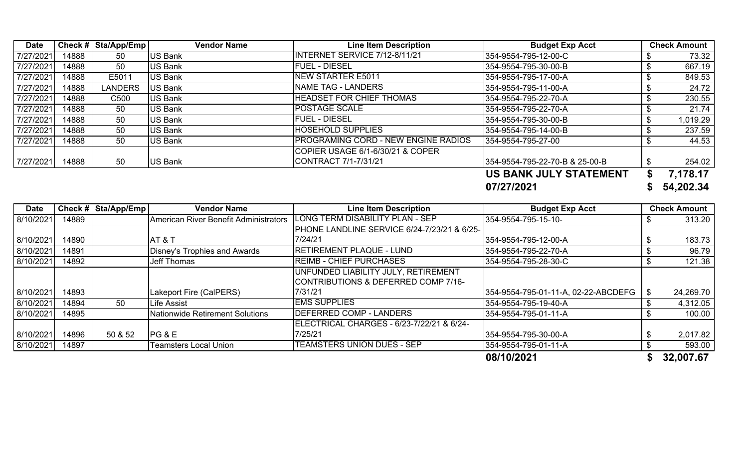| Date      |       | Check # $\vert$ Sta/App/Emp | <b>Vendor Name</b> | <b>Line Item Description</b>                | <b>Budget Exp Acct</b>         | <b>Check Amount</b> |
|-----------|-------|-----------------------------|--------------------|---------------------------------------------|--------------------------------|---------------------|
| 7/27/2021 | 14888 | 50                          | <b>US Bank</b>     | INTERNET SERVICE 7/12-8/11/21               | 354-9554-795-12-00-C           | 73.32               |
| 7/27/2021 | 14888 | 50                          | <b>US Bank</b>     | <b>FUEL - DIESEL</b>                        | 354-9554-795-30-00-B           | 667.19              |
| 7/27/2021 | 14888 | E5011                       | <b>US Bank</b>     | NEW STARTER E5011                           | 354-9554-795-17-00-A           | 849.53              |
| 7/27/2021 | 14888 | <b>LANDERS</b>              | US Bank            | <b>NAME TAG - LANDERS</b>                   | 354-9554-795-11-00-A           | 24.72               |
| 7/27/2021 | 14888 | C500                        | US Bank            | <b>HEADSET FOR CHIEF THOMAS</b>             | 354-9554-795-22-70-A           | 230.55              |
| 7/27/2021 | 14888 | 50                          | <b>US Bank</b>     | <b>POSTAGE SCALE</b>                        | 354-9554-795-22-70-A           | 21.74               |
| 7/27/2021 | 14888 | 50                          | <b>US Bank</b>     | <b>FUEL - DIESEL</b>                        | 354-9554-795-30-00-B           | 1,019.29            |
| 7/27/2021 | 14888 | 50                          | <b>US Bank</b>     | <b>HOSEHOLD SUPPLIES</b>                    | 354-9554-795-14-00-B           | 237.59              |
| 7/27/2021 | 14888 | 50                          | US Bank            | <b>IPROGRAMING CORD - NEW ENGINE RADIOS</b> | 354-9554-795-27-00             | 44.53               |
|           |       |                             |                    | COPIER USAGE 6/1-6/30/21 & COPER            |                                |                     |
| 7/27/2021 | 14888 | 50                          | <b>US Bank</b>     | CONTRACT 7/1-7/31/21                        | 354-9554-795-22-70-B & 25-00-B | 254.02              |
|           |       |                             |                    |                                             | <b>US BANK JULY STATEMENT</b>  | 7,178.17            |
|           |       |                             |                    |                                             | 07/27/2021                     | 54,202.34           |

| <b>Date</b>            |                | Check #   Sta/App/Emp | <b>Vendor Name</b>                     | <b>Line Item Description</b>                                                        | <b>Budget Exp Acct</b>                       | <b>Check Amount</b> |
|------------------------|----------------|-----------------------|----------------------------------------|-------------------------------------------------------------------------------------|----------------------------------------------|---------------------|
| 8/10/2021              | 14889          |                       | American River Benefit Administrators  | LONG TERM DISABILITY PLAN - SEP                                                     | 354-9554-795-15-10-                          | 313.20              |
|                        |                |                       |                                        | <b>PHONE LANDLINE SERVICE 6/24-7/23/21 &amp; 6/25-</b>                              |                                              |                     |
| 8/10/2021              | 14890          |                       | AT&T                                   | 7/24/21                                                                             | 354-9554-795-12-00-A                         | 183.73              |
| 8/10/2021              | 14891          |                       | Disney's Trophies and Awards           | <b>RETIREMENT PLAQUE - LUND</b>                                                     | 354-9554-795-22-70-A                         | 96.79               |
| 8/10/2021              | 14892          |                       | <b>Jeff Thomas</b>                     | <b>REIMB - CHIEF PURCHASES</b>                                                      | 354-9554-795-28-30-C                         | 121.38              |
|                        |                |                       |                                        | UNFUNDED LIABILITY JULY, RETIREMENT<br>CONTRIBUTIONS & DEFERRED COMP 7/16-          |                                              |                     |
| 8/10/2021              | 14893          |                       | Lakeport Fire (CalPERS)                | 7/31/21                                                                             | 354-9554-795-01-11-A, 02-22-ABCDEFG   \$     | 24,269.70           |
| 8/10/2021              | 14894          | 50                    | Life Assist                            | <b>EMS SUPPLIES</b>                                                                 | 354-9554-795-19-40-A                         | 4,312.05            |
| 8/10/2021              | 14895          |                       | <b>Nationwide Retirement Solutions</b> | <b>IDEFERRED COMP - LANDERS</b>                                                     | 354-9554-795-01-11-A                         | 100.00              |
| 8/10/2021<br>8/10/2021 | 14896<br>14897 | 50 & 52               | PG & E<br>Teamsters Local Union        | IELECTRICAL CHARGES - 6/23-7/22/21 & 6/24-<br>7/25/21<br>TEAMSTERS UNION DUES - SEP | 354-9554-795-30-00-A<br>354-9554-795-01-11-A | 2,017.82<br>593.00  |
|                        |                |                       |                                        |                                                                                     | 08/10/2021                                   | 32,007.67           |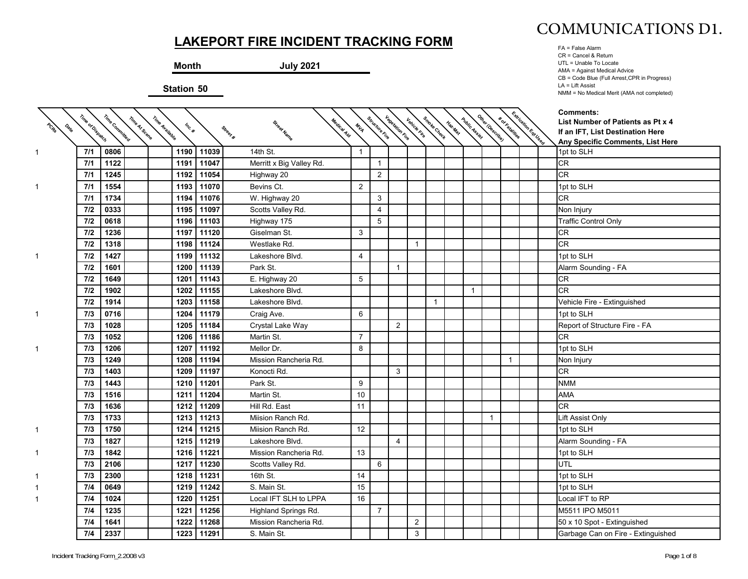**Month July 2021**

**Station 50**



FA = False Alarm CR = Cancel & Return UTL = Unable To Locate AMA = Against Medical Advice CB = Code Blue (Full Arrest,CPR in Progress) LA = Lift Assist NMM = No Medical Merit (AMA not completed)

| PORT | Time of Dispatch | Time Committed | Time Avallable<br>Time At Scene | Inc. # |            | Medical Aid<br>Street Name<br>Street # | MIA            | Structure Fire | <b>Vegetation Fire</b> | Vehicle Fire   | Smoke Check    | Haz Mar | Public Assist | Other IDescribe) | * of Fatalities | Extrication Est Lased | <b>Comments:</b><br>List Number of Patients as Pt x 4<br>If an IFT, List Destination Here |
|------|------------------|----------------|---------------------------------|--------|------------|----------------------------------------|----------------|----------------|------------------------|----------------|----------------|---------|---------------|------------------|-----------------|-----------------------|-------------------------------------------------------------------------------------------|
|      |                  |                |                                 |        |            |                                        |                |                |                        |                |                |         |               |                  |                 |                       | Any Specific Comments, List Here                                                          |
|      | 7/1              | 0806           |                                 | 1190   | 11039      | 14th St.                               | $\mathbf{1}$   |                |                        |                |                |         |               |                  |                 |                       | 1pt to SLH                                                                                |
|      | 7/1              | 1122           |                                 | 1191   | 11047      | Merritt x Big Valley Rd.               |                | $\overline{1}$ |                        |                |                |         |               |                  |                 |                       | <b>CR</b>                                                                                 |
|      | 7/1              | 1245           |                                 | 1192   | 11054      | Highway 20                             |                | 2              |                        |                |                |         |               |                  |                 |                       | <b>CR</b>                                                                                 |
|      | 7/1              | 1554           |                                 | 1193   | 11070      | Bevins Ct.                             | 2              |                |                        |                |                |         |               |                  |                 |                       | 1pt to SLH                                                                                |
|      | 7/1              | 1734           |                                 | 1194   | 11076      | W. Highway 20                          |                | 3              |                        |                |                |         |               |                  |                 |                       | <b>CR</b>                                                                                 |
|      | 7/2              | 0333           |                                 | 1195   | 11097      | Scotts Valley Rd.                      |                | $\overline{4}$ |                        |                |                |         |               |                  |                 |                       | Non Injury                                                                                |
|      | 7/2              | 0618           |                                 | 1196   | 11103      | Highway 175                            |                | 5              |                        |                |                |         |               |                  |                 |                       | <b>Traffic Control Only</b>                                                               |
|      | 7/2              | 1236           |                                 | 1197   | 11120      | Giselman St.                           | 3              |                |                        |                |                |         |               |                  |                 |                       | <b>CR</b>                                                                                 |
|      | 7/2              | 1318           |                                 | 1198   | 11124      | Westlake Rd.                           |                |                |                        | $\overline{1}$ |                |         |               |                  |                 |                       | <b>CR</b>                                                                                 |
|      | 7/2              | 1427           |                                 | 1199   | 11132      | Lakeshore Blvd.                        | $\overline{4}$ |                |                        |                |                |         |               |                  |                 |                       | 1pt to SLH                                                                                |
|      | 7/2              | 1601           |                                 | 1200   | 11139      | Park St.                               |                |                | $\overline{1}$         |                |                |         |               |                  |                 |                       | Alarm Sounding - FA                                                                       |
|      | 7/2              | 1649           |                                 | 1201   | 11143      | E. Highway 20                          | 5              |                |                        |                |                |         |               |                  |                 |                       | <b>CR</b>                                                                                 |
|      | 7/2              | 1902           |                                 | 1202   | 11155      | Lakeshore Blvd.                        |                |                |                        |                |                |         | $\mathbf{1}$  |                  |                 |                       | <b>CR</b>                                                                                 |
|      | 7/2              | 1914           |                                 | 1203   | 11158      | Lakeshore Blvd.                        |                |                |                        |                | $\overline{1}$ |         |               |                  |                 |                       | Vehicle Fire - Extinguished                                                               |
| 1    | 7/3              | 0716           |                                 | 1204   | 11179      | Craig Ave.                             | 6              |                |                        |                |                |         |               |                  |                 |                       | 1pt to SLH                                                                                |
|      | 7/3              | 1028           |                                 | 1205   | 11184      | Crystal Lake Way                       |                |                | 2                      |                |                |         |               |                  |                 |                       | Report of Structure Fire - FA                                                             |
|      | 7/3              | 1052           |                                 | 1206   | 11186      | Martin St.                             | $\overline{7}$ |                |                        |                |                |         |               |                  |                 |                       | <b>CR</b>                                                                                 |
|      | 7/3              | 1206           |                                 | 1207   | 11192      | Mellor Dr.                             | 8              |                |                        |                |                |         |               |                  |                 |                       | 1pt to SLH                                                                                |
|      | 7/3              | 1249           |                                 | 1208   | 11194      | Mission Rancheria Rd.                  |                |                |                        |                |                |         |               |                  | $\mathbf{1}$    |                       | Non Injury                                                                                |
|      | 7/3              | 1403           |                                 | 1209   | 11197      | Konocti Rd.                            |                |                | 3                      |                |                |         |               |                  |                 |                       | <b>CR</b>                                                                                 |
|      | 7/3              | 1443           |                                 | 1210   | 11201      | Park St.                               | 9              |                |                        |                |                |         |               |                  |                 |                       | <b>NMM</b>                                                                                |
|      | 7/3              | 1516           |                                 | 1211   | 11204      | Martin St.                             | 10             |                |                        |                |                |         |               |                  |                 |                       | <b>AMA</b>                                                                                |
|      | 7/3              | 1636           |                                 | 1212   | 11209      | Hill Rd. East                          | 11             |                |                        |                |                |         |               |                  |                 |                       | <b>CR</b>                                                                                 |
|      | 7/3              | 1733           |                                 | 1213   | 11213      | Miision Ranch Rd.                      |                |                |                        |                |                |         |               |                  |                 |                       | Lift Assist Only                                                                          |
| 1    | 7/3              | 1750           |                                 | 1214   | 11215      | Miision Ranch Rd.                      | 12             |                |                        |                |                |         |               |                  |                 |                       | 1pt to SLH                                                                                |
|      | 7/3              | 1827           |                                 | 1215   | 11219      | Lakeshore Blvd.                        |                |                | $\overline{4}$         |                |                |         |               |                  |                 |                       | Alarm Sounding - FA                                                                       |
| 1.   | 7/3              | 1842           |                                 | 1216   | 11221      | Mission Rancheria Rd.                  | 13             |                |                        |                |                |         |               |                  |                 |                       | 1pt to SLH                                                                                |
|      | 7/3              | 2106           |                                 | 1217   | 11230      | Scotts Valley Rd.                      |                | 6              |                        |                |                |         |               |                  |                 |                       | UTL                                                                                       |
|      | 7/3              | 2300           |                                 | 1218   | 11231      | 16th St.                               | 14             |                |                        |                |                |         |               |                  |                 |                       | 1pt to SLH                                                                                |
|      | 7/4              | 0649           |                                 | 1219   | 11242      | S. Main St.                            | 15             |                |                        |                |                |         |               |                  |                 |                       | 1pt to SLH                                                                                |
|      | 7/4              | 1024           |                                 | 1220   | 11251      | Local IFT SLH to LPPA                  | 16             |                |                        |                |                |         |               |                  |                 |                       | Local IFT to RP                                                                           |
|      | 7/4              | 1235           |                                 | 1221   | 11256      | Highland Springs Rd.                   |                | $\overline{7}$ |                        |                |                |         |               |                  |                 |                       | M5511 IPO M5011                                                                           |
|      | 7/4              | 1641           |                                 | 1222   | 11268      | Mission Rancheria Rd.                  |                |                |                        | $\overline{2}$ |                |         |               |                  |                 |                       | 50 x 10 Spot - Extinguished                                                               |
|      | 7/4              | 2337           |                                 |        | 1223 11291 | S. Main St.                            |                |                |                        | 3              |                |         |               |                  |                 |                       | Garbage Can on Fire - Extinguished                                                        |

 $\diagdown$  $\diagdown$ 

1

1

1

1

1

1

1

1

1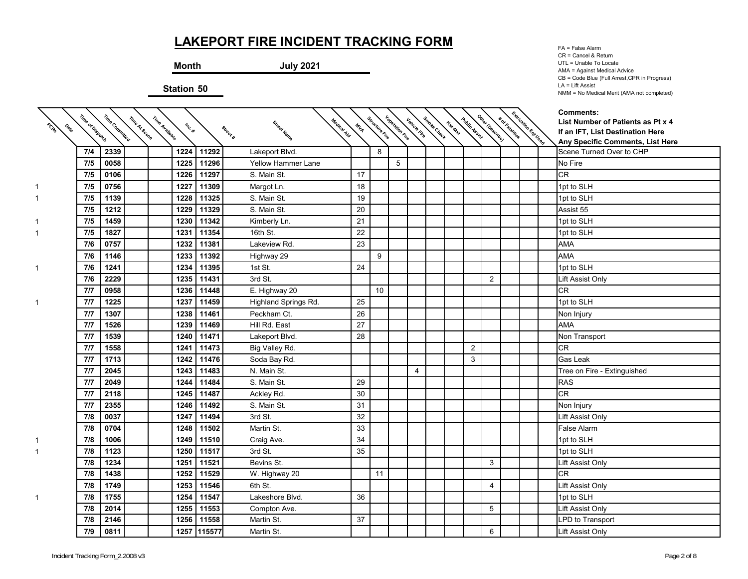**Month July 2021**

**Station 50**

↸

FA = False Alarm CR = Cancel & Return UTL = Unable To Locate AMA = Against Medical Advice CB = Code Blue (Full Arrest,CPR in Progress) LA = Lift Assist NMM = No Medical Merit (AMA not completed)

| PORT<br>$\phi_{\!\scriptscriptstyle (\!\chi_{\!\scriptscriptstyle (\!\varsigma\!)})}$ | Time of Dispatch | Time Committed | Time Avallable<br>Time Af Scene | Inc. # |             | Street Name<br>Street #   | Medical Aid<br>MIA | Structure Fire | kanalista kanalista didan kanalista kanalista kanalista.<br>Kanalista kanalista kanalista kanalista kanalista kanalista. |                |  |   |                | * or katalities | Extraction Est User | <b>Comments:</b><br>List Number of Patients as Pt x 4<br>If an IFT, List Destination Here<br>Any Specific Comments, List Here |
|---------------------------------------------------------------------------------------|------------------|----------------|---------------------------------|--------|-------------|---------------------------|--------------------|----------------|--------------------------------------------------------------------------------------------------------------------------|----------------|--|---|----------------|-----------------|---------------------|-------------------------------------------------------------------------------------------------------------------------------|
|                                                                                       | 7/4              | 2339           |                                 | 1224   | 11292       | Lakeport Blvd.            |                    | 8              |                                                                                                                          |                |  |   |                |                 |                     | Scene Turned Over to CHP                                                                                                      |
|                                                                                       | 7/5              | 0058           |                                 | 1225   | 11296       | <b>Yellow Hammer Lane</b> |                    |                | 5                                                                                                                        |                |  |   |                |                 |                     | No Fire                                                                                                                       |
|                                                                                       | 7/5              | 0106           |                                 | 1226   | 11297       | S. Main St.               | 17                 |                |                                                                                                                          |                |  |   |                |                 |                     | CR                                                                                                                            |
|                                                                                       | 7/5              | 0756           |                                 | 1227   | 11309       | Margot Ln.                | 18                 |                |                                                                                                                          |                |  |   |                |                 |                     | 1pt to SLH                                                                                                                    |
|                                                                                       | 7/5              | 1139           |                                 | 1228   | 11325       | S. Main St.               | 19                 |                |                                                                                                                          |                |  |   |                |                 |                     | 1pt to SLH                                                                                                                    |
|                                                                                       | 7/5              | 1212           |                                 | 1229   | 11329       | S. Main St.               | 20                 |                |                                                                                                                          |                |  |   |                |                 |                     | Assist 55                                                                                                                     |
|                                                                                       | 7/5              | 1459           |                                 | 1230   | 11342       | Kimberly Ln.              | 21                 |                |                                                                                                                          |                |  |   |                |                 |                     | 1pt to SLH                                                                                                                    |
|                                                                                       | 7/5              | 1827           |                                 | 1231   | 11354       | 16th St.                  | 22                 |                |                                                                                                                          |                |  |   |                |                 |                     | 1pt to SLH                                                                                                                    |
|                                                                                       | 7/6              | 0757           |                                 | 1232   | 11381       | Lakeview Rd.              | 23                 |                |                                                                                                                          |                |  |   |                |                 |                     | <b>AMA</b>                                                                                                                    |
|                                                                                       | 7/6              | 1146           |                                 | 1233   | 11392       | Highway 29                |                    | 9              |                                                                                                                          |                |  |   |                |                 |                     | <b>AMA</b>                                                                                                                    |
| 1                                                                                     | 7/6              | 1241           |                                 | 1234   | 11395       | 1st St.                   | 24                 |                |                                                                                                                          |                |  |   |                |                 |                     | 1pt to SLH                                                                                                                    |
|                                                                                       | 7/6              | 2229           |                                 | 1235   | 11431       | 3rd St.                   |                    |                |                                                                                                                          |                |  |   | $\overline{2}$ |                 |                     | Lift Assist Only                                                                                                              |
|                                                                                       | 7/7              | 0958           |                                 | 1236   | 11448       | E. Highway 20             |                    | 10             |                                                                                                                          |                |  |   |                |                 |                     | CR                                                                                                                            |
|                                                                                       | 7/7              | 1225           |                                 | 1237   | 11459       | Highland Springs Rd.      | 25                 |                |                                                                                                                          |                |  |   |                |                 |                     | 1pt to SLH                                                                                                                    |
|                                                                                       | 7/7              | 1307           |                                 | 1238   | 11461       | Peckham Ct.               | 26                 |                |                                                                                                                          |                |  |   |                |                 |                     | Non Injury                                                                                                                    |
|                                                                                       | 7/7              | 1526           |                                 | 1239   | 11469       | Hill Rd. East             | 27                 |                |                                                                                                                          |                |  |   |                |                 |                     | <b>AMA</b>                                                                                                                    |
|                                                                                       | 7/7              | 1539           |                                 | 1240   | 11471       | Lakeport Blvd.            | 28                 |                |                                                                                                                          |                |  |   |                |                 |                     | Non Transport                                                                                                                 |
|                                                                                       | 7/7              | 1558           |                                 | 1241   | 11473       | Big Valley Rd.            |                    |                |                                                                                                                          |                |  | 2 |                |                 |                     | CR                                                                                                                            |
|                                                                                       | 7/7              | 1713           |                                 | 1242   | 11476       | Soda Bay Rd.              |                    |                |                                                                                                                          |                |  | 3 |                |                 |                     | Gas Leak                                                                                                                      |
|                                                                                       | 7/7              | 2045           |                                 | 1243   | 11483       | N. Main St.               |                    |                |                                                                                                                          | $\overline{4}$ |  |   |                |                 |                     | Tree on Fire - Extinguished                                                                                                   |
|                                                                                       | 7/7              | 2049           |                                 | 1244   | 11484       | S. Main St.               | 29                 |                |                                                                                                                          |                |  |   |                |                 |                     | <b>RAS</b>                                                                                                                    |
|                                                                                       | 7/7              | 2118           |                                 | 1245   | 11487       | Ackley Rd.                | 30                 |                |                                                                                                                          |                |  |   |                |                 |                     | <b>CR</b>                                                                                                                     |
|                                                                                       | 7/7              | 2355           |                                 | 1246   | 11492       | S. Main St.               | 31                 |                |                                                                                                                          |                |  |   |                |                 |                     | Non Injury                                                                                                                    |
|                                                                                       | 7/8              | 0037           |                                 | 1247   | 11494       | 3rd St.                   | 32                 |                |                                                                                                                          |                |  |   |                |                 |                     | Lift Assist Only                                                                                                              |
|                                                                                       | 7/8              | 0704           |                                 | 1248   | 11502       | Martin St.                | 33                 |                |                                                                                                                          |                |  |   |                |                 |                     | False Alarm                                                                                                                   |
|                                                                                       | 7/8              | 1006           |                                 | 1249   | 11510       | Craig Ave.                | 34                 |                |                                                                                                                          |                |  |   |                |                 |                     | 1pt to SLH                                                                                                                    |
|                                                                                       | 7/8              | 1123           |                                 | 1250   | 11517       | 3rd St.                   | 35                 |                |                                                                                                                          |                |  |   |                |                 |                     | 1pt to SLH                                                                                                                    |
|                                                                                       | 7/8              | 1234           |                                 | 1251   | 11521       | Bevins St.                |                    |                |                                                                                                                          |                |  |   | 3              |                 |                     | Lift Assist Only                                                                                                              |
|                                                                                       | 7/8              | 1438           |                                 | 1252   | 11529       | W. Highway 20             |                    | 11             |                                                                                                                          |                |  |   |                |                 |                     | CR                                                                                                                            |
|                                                                                       | 7/8              | 1749           |                                 | 1253   | 11546       | 6th St.                   |                    |                |                                                                                                                          |                |  |   | $\overline{4}$ |                 |                     | Lift Assist Only                                                                                                              |
|                                                                                       | 7/8              | 1755           |                                 | 1254   | 11547       | Lakeshore Blvd.           | 36                 |                |                                                                                                                          |                |  |   |                |                 |                     | 1pt to SLH                                                                                                                    |
|                                                                                       | 7/8              | 2014           |                                 | 1255   | 11553       | Compton Ave.              |                    |                |                                                                                                                          |                |  |   | 5              |                 |                     | Lift Assist Only                                                                                                              |
|                                                                                       | 7/8              | 2146           |                                 | 1256   | 11558       | Martin St.                | 37                 |                |                                                                                                                          |                |  |   |                |                 |                     | LPD to Transport                                                                                                              |
|                                                                                       | 7/9              | 0811           |                                 |        | 1257 115577 | Martin St.                |                    |                |                                                                                                                          |                |  |   | 6              |                 |                     | Lift Assist Only                                                                                                              |

↸

↸

1

ᅐ

↸

↸

1

1

1

1

1

1

1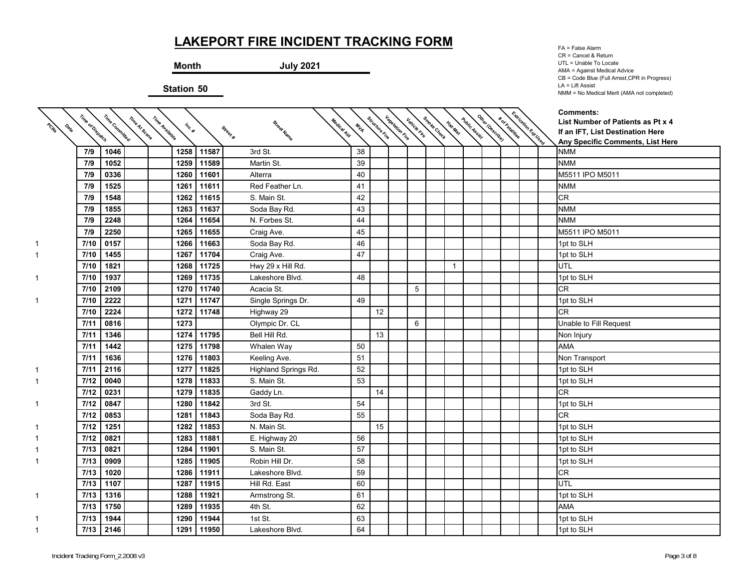**Month July 2021**

**Station 50**

↸

FA = False Alarm CR = Cancel & Return UTL = Unable To Locate AMA = Against Medical Advice CB = Code Blue (Full Arrest,CPR in Progress) LA = Lift Assist NMM = No Medical Merit (AMA not completed)

| PORT<br>Data | Time of Dispatch | Time Committed | Time Avallable<br>Time At Scene | Inc. # |            | Street Name          | Medical Aid<br>MIA | Structure rive | <b>Vegetation File</b> | Vehicle ring | Smoke Check | Haz.Mat      | Public Assist | Other IDescribe) | <b>*</b> of Fatalities | Extrication Est Users | <b>Comments:</b><br>List Number of Patients as Pt x 4                |
|--------------|------------------|----------------|---------------------------------|--------|------------|----------------------|--------------------|----------------|------------------------|--------------|-------------|--------------|---------------|------------------|------------------------|-----------------------|----------------------------------------------------------------------|
|              |                  |                |                                 |        |            | Street #             |                    |                |                        |              |             |              |               |                  |                        |                       | If an IFT, List Destination Here<br>Any Specific Comments, List Here |
|              | 7/9              | 1046           |                                 | 1258   | 11587      | 3rd St.              | 38                 |                |                        |              |             |              |               |                  |                        |                       | <b>NMM</b>                                                           |
|              | 7/9              | 1052           |                                 | 1259   | 11589      | Martin St.           | 39                 |                |                        |              |             |              |               |                  |                        |                       | <b>NMM</b>                                                           |
|              | 7/9              | 0336           |                                 | 1260   | 11601      | Alterra              | 40                 |                |                        |              |             |              |               |                  |                        |                       | M5511 IPO M5011                                                      |
|              | 7/9              | 1525           |                                 | 1261   | 11611      | Red Feather Ln.      | 41                 |                |                        |              |             |              |               |                  |                        |                       | <b>NMM</b>                                                           |
|              | 7/9              | 1548           |                                 | 1262   | 11615      | S. Main St.          | 42                 |                |                        |              |             |              |               |                  |                        |                       | <b>CR</b>                                                            |
|              | 7/9              | 1855           |                                 | 1263   | 11637      | Soda Bay Rd.         | 43                 |                |                        |              |             |              |               |                  |                        |                       | <b>NMM</b>                                                           |
|              | 7/9              | 2248           |                                 | 1264   | 11654      | N. Forbes St.        | 44                 |                |                        |              |             |              |               |                  |                        |                       | <b>NMM</b>                                                           |
|              | 7/9              | 2250           |                                 | 1265   | 11655      | Craig Ave.           | 45                 |                |                        |              |             |              |               |                  |                        |                       | M5511 IPO M5011                                                      |
|              | 7/10             | 0157           |                                 | 1266   | 11663      | Soda Bay Rd.         | 46                 |                |                        |              |             |              |               |                  |                        |                       | 1pt to SLH                                                           |
| 1            | 7/10             | 1455           |                                 | 1267   | 11704      | Craig Ave.           | 47                 |                |                        |              |             |              |               |                  |                        |                       | 1pt to SLH                                                           |
|              | 7/10             | 1821           |                                 | 1268   | 11725      | Hwy 29 x Hill Rd.    |                    |                |                        |              |             | $\mathbf{1}$ |               |                  |                        |                       | UTL                                                                  |
| 1            | 7/10             | 1937           |                                 | 1269   | 11735      | Lakeshore Blvd.      | 48                 |                |                        |              |             |              |               |                  |                        |                       | 1pt to SLH                                                           |
|              | 7/10             | 2109           |                                 | 1270   | 11740      | Acacia St.           |                    |                |                        | 5            |             |              |               |                  |                        |                       | <b>CR</b>                                                            |
| 1            | 7/10             | 2222           |                                 | 1271   | 11747      | Single Springs Dr.   | 49                 |                |                        |              |             |              |               |                  |                        |                       | 1pt to SLH                                                           |
|              | 7/10             | 2224           |                                 | 1272   | 11748      | Highway 29           |                    | 12             |                        |              |             |              |               |                  |                        |                       | <b>CR</b>                                                            |
|              | 7/11             | 0816           |                                 | 1273   |            | Olympic Dr. CL       |                    |                |                        | 6            |             |              |               |                  |                        |                       | Unable to Fill Request                                               |
|              | 7/11             | 1346           |                                 | 1274   | 11795      | Bell Hill Rd.        |                    | 13             |                        |              |             |              |               |                  |                        |                       | Non Injury                                                           |
|              | 7/11             | 1442           |                                 | 1275   | 11798      | Whalen Way           | 50                 |                |                        |              |             |              |               |                  |                        |                       | <b>AMA</b>                                                           |
|              | 7/11             | 1636           |                                 | 1276   | 11803      | Keeling Ave.         | 51                 |                |                        |              |             |              |               |                  |                        |                       | Non Transport                                                        |
|              | 7/11             | 2116           |                                 | 1277   | 11825      | Highland Springs Rd. | 52                 |                |                        |              |             |              |               |                  |                        |                       | 1pt to SLH                                                           |
| 1.           | 7/12             | 0040           |                                 | 1278   | 11833      | S. Main St.          | 53                 |                |                        |              |             |              |               |                  |                        |                       | 1pt to SLH                                                           |
|              | 7/12             | 0231           |                                 | 1279   | 11835      | Gaddy Ln.            |                    | 14             |                        |              |             |              |               |                  |                        |                       | CR                                                                   |
| 1            | 7/12             | 0847           |                                 | 1280   | 11842      | 3rd St.              | 54                 |                |                        |              |             |              |               |                  |                        |                       | 1pt to SLH                                                           |
|              | 7/12             | 0853           |                                 | 1281   | 11843      | Soda Bay Rd.         | 55                 |                |                        |              |             |              |               |                  |                        |                       | <b>CR</b>                                                            |
|              | 7/12             | 1251           |                                 | 1282   | 11853      | N. Main St.          |                    | 15             |                        |              |             |              |               |                  |                        |                       | 1pt to SLH                                                           |
|              | 7/12             | 0821           |                                 | 1283   | 11881      | E. Highway 20        | 56                 |                |                        |              |             |              |               |                  |                        |                       | 1pt to SLH                                                           |
|              | 7/13             | 0821           |                                 | 1284   | 11901      | S. Main St.          | 57                 |                |                        |              |             |              |               |                  |                        |                       | 1pt to SLH                                                           |
|              | 7/13             | 0909           |                                 | 1285   | 11905      | Robin Hill Dr.       | 58                 |                |                        |              |             |              |               |                  |                        |                       | 1pt to SLH                                                           |
|              | 7/13             | 1020           |                                 | 1286   | 11911      | Lakeshore Blvd.      | 59                 |                |                        |              |             |              |               |                  |                        |                       | <b>CR</b>                                                            |
|              | 7/13             | 1107           |                                 | 1287   | 11915      | Hill Rd. East        | 60                 |                |                        |              |             |              |               |                  |                        |                       | <b>UTL</b>                                                           |
| 1.           | 7/13             | 1316           |                                 | 1288   | 11921      | Armstrong St.        | 61                 |                |                        |              |             |              |               |                  |                        |                       | 1pt to SLH                                                           |
|              | 7/13             | 1750           |                                 | 1289   | 11935      | 4th St.              | 62                 |                |                        |              |             |              |               |                  |                        |                       | <b>AMA</b>                                                           |
|              | 7/13             | 1944           |                                 | 1290   | 11944      | 1st St.              | 63                 |                |                        |              |             |              |               |                  |                        |                       | 1pt to SLH                                                           |
|              | 7/13             | 2146           |                                 |        | 1291 11950 | Lakeshore Blvd.      | 64                 |                |                        |              |             |              |               |                  |                        |                       | 1pt to SLH                                                           |

Κ Κ  $\overline{\phantom{0}}$ 

 $\overline{\phantom{0}}$ 

1

Γ

1

1

1

1

1

1

1

1

1

1

1

1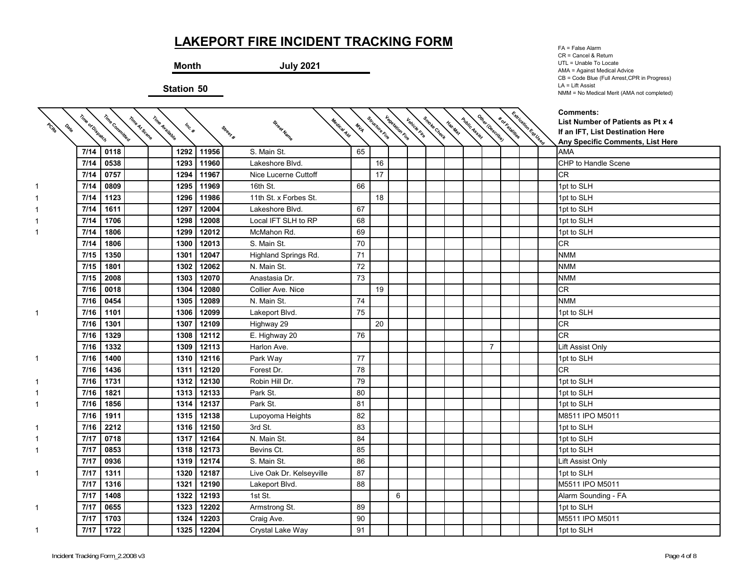**Month July 2021**

**Station 50**

FA = False Alarm CR = Cancel & Return UTL = Unable To Locate AMA = Against Medical Advice CB = Code Blue (Full Arrest,CPR in Progress) LA = Lift Assist NMM = No Medical Merit (AMA not completed)

|                     | Time of Dispatch | Time Committed |                |        |            |                                        |     |                | <b>Vegetation Fire</b> |              |             |         |               | Other I Describe) |                 | Extrication Est Used | <b>Comments:</b>                                                      |
|---------------------|------------------|----------------|----------------|--------|------------|----------------------------------------|-----|----------------|------------------------|--------------|-------------|---------|---------------|-------------------|-----------------|----------------------|-----------------------------------------------------------------------|
| PORT<br><b>Oslo</b> |                  |                | Time At Scene  | Inc. # |            | Medical Aid<br>Street Name<br>Street # | MIA | Structure rive |                        | Vehicle File |             | Haz.Mai | Public Assist |                   | * or katalities |                      | List Number of Patients as Pt x 4<br>If an IFT, List Destination Here |
|                     |                  |                | Time Avallable |        |            |                                        |     |                |                        |              | Smoke Check |         |               |                   |                 |                      | Any Specific Comments, List Here                                      |
|                     | 7/14             | 0118           |                | 1292   | 11956      | S. Main St.                            | 65  |                |                        |              |             |         |               |                   |                 |                      | <b>AMA</b>                                                            |
|                     | 7/14             | 0538           |                | 1293   | 11960      | Lakeshore Blvd.                        |     | 16             |                        |              |             |         |               |                   |                 |                      | CHP to Handle Scene                                                   |
|                     | 7/14             | 0757           |                | 1294   | 11967      | Nice Lucerne Cuttoff                   |     | 17             |                        |              |             |         |               |                   |                 |                      | <b>CR</b>                                                             |
|                     | 7/14             | 0809           |                | 1295   | 11969      | 16th St.                               | 66  |                |                        |              |             |         |               |                   |                 |                      | 1pt to SLH                                                            |
|                     | 7/14             | 1123           |                | 1296   | 11986      | 11th St. x Forbes St.                  |     | 18             |                        |              |             |         |               |                   |                 |                      | 1pt to SLH                                                            |
|                     | 7/14             | 1611           |                | 1297   | 12004      | Lakeshore Blvd.                        | 67  |                |                        |              |             |         |               |                   |                 |                      | 1pt to SLH                                                            |
|                     | 7/14             | 1706           |                | 1298   | 12008      | Local IFT SLH to RP                    | 68  |                |                        |              |             |         |               |                   |                 |                      | 1pt to SLH                                                            |
|                     | 7/14             | 1806           |                | 1299   | 12012      | McMahon Rd.                            | 69  |                |                        |              |             |         |               |                   |                 |                      | 1pt to SLH                                                            |
|                     | 7/14             | 1806           |                | 1300   | 12013      | S. Main St.                            | 70  |                |                        |              |             |         |               |                   |                 |                      | <b>CR</b>                                                             |
|                     | 7/15             | 1350           |                | 1301   | 12047      | Highland Springs Rd.                   | 71  |                |                        |              |             |         |               |                   |                 |                      | <b>NMM</b>                                                            |
|                     | 7/15             | 1801           |                | 1302   | 12062      | N. Main St.                            | 72  |                |                        |              |             |         |               |                   |                 |                      | <b>NMM</b>                                                            |
|                     | 7/15             | 2008           |                | 1303   | 12070      | Anastasia Dr.                          | 73  |                |                        |              |             |         |               |                   |                 |                      | <b>NMM</b>                                                            |
|                     | 7/16             | 0018           |                | 1304   | 12080      | Collier Ave. Nice                      |     | 19             |                        |              |             |         |               |                   |                 |                      | CR                                                                    |
|                     | 7/16             | 0454           |                | 1305   | 12089      | N. Main St.                            | 74  |                |                        |              |             |         |               |                   |                 |                      | <b>NMM</b>                                                            |
| 1                   | 7/16             | 1101           |                | 1306   | 12099      | Lakeport Blvd.                         | 75  |                |                        |              |             |         |               |                   |                 |                      | 1pt to SLH                                                            |
|                     | 7/16             | 1301           |                | 1307   | 12109      | Highway 29                             |     | 20             |                        |              |             |         |               |                   |                 |                      | CR                                                                    |
|                     | 7/16             | 1329           |                | 1308   | 12112      | E. Highway 20                          | 76  |                |                        |              |             |         |               |                   |                 |                      | CR                                                                    |
|                     | 7/16             | 1332           |                | 1309   | 12113      | Harlon Ave.                            |     |                |                        |              |             |         |               | $\overline{7}$    |                 |                      | Lift Assist Only                                                      |
| 1                   | 7/16             | 1400           |                | 1310   | 12116      | Park Way                               | 77  |                |                        |              |             |         |               |                   |                 |                      | 1pt to SLH                                                            |
|                     | 7/16             | 1436           |                | 1311   | 12120      | Forest Dr.                             | 78  |                |                        |              |             |         |               |                   |                 |                      | <b>CR</b>                                                             |
| 1.                  | 7/16             | 1731           |                | 1312   | 12130      | Robin Hill Dr.                         | 79  |                |                        |              |             |         |               |                   |                 |                      | 1pt to SLH                                                            |
|                     | 7/16             | 1821           |                | 1313   | 12133      | Park St.                               | 80  |                |                        |              |             |         |               |                   |                 |                      | 1pt to SLH                                                            |
|                     | 7/16             | 1856           |                | 1314   | 12137      | Park St.                               | 81  |                |                        |              |             |         |               |                   |                 |                      | 1pt to SLH                                                            |
|                     | 7/16             | 1911           |                | 1315   | 12138      | Lupoyoma Heights                       | 82  |                |                        |              |             |         |               |                   |                 |                      | M8511 IPO M5011                                                       |
|                     | 7/16             | 2212           |                | 1316   | 12150      | 3rd St.                                | 83  |                |                        |              |             |         |               |                   |                 |                      | 1pt to SLH                                                            |
|                     | 7/17             | 0718           |                | 1317   | 12164      | N. Main St.                            | 84  |                |                        |              |             |         |               |                   |                 |                      | 1pt to SLH                                                            |
|                     | 7/17             | 0853           |                | 1318   | 12173      | Bevins Ct.                             | 85  |                |                        |              |             |         |               |                   |                 |                      | 1pt to SLH                                                            |
|                     | 7/17             | 0936           |                | 1319   | 12174      | S. Main St.                            | 86  |                |                        |              |             |         |               |                   |                 |                      | Lift Assist Only                                                      |
|                     | 7/17             | 1311           |                | 1320   | 12187      | Live Oak Dr. Kelseyville               | 87  |                |                        |              |             |         |               |                   |                 |                      | 1pt to SLH                                                            |
|                     | 7/17             | 1316           |                | 1321   | 12190      | Lakeport Blvd.                         | 88  |                |                        |              |             |         |               |                   |                 |                      | M5511 IPO M5011                                                       |
|                     | 7/17             | 1408           |                | 1322   | 12193      | 1st St.                                |     |                | 6                      |              |             |         |               |                   |                 |                      | Alarm Sounding - FA                                                   |
| 1                   | 7/17             | 0655           |                | 1323   | 12202      | Armstrong St.                          | 89  |                |                        |              |             |         |               |                   |                 |                      | 1pt to SLH                                                            |
|                     | 7/17             | 1703           |                | 1324   | 12203      | Craig Ave.                             | 90  |                |                        |              |             |         |               |                   |                 |                      | M5511 IPO M5011                                                       |
|                     | 7/17             | 1722           |                |        | 1325 12204 | Crystal Lake Way                       | 91  |                |                        |              |             |         |               |                   |                 |                      | 1pt to SLH                                                            |

1

 $\blacktriangledown$ 

1

1

1

1

1

1

1

1

1

1

1

1

1

1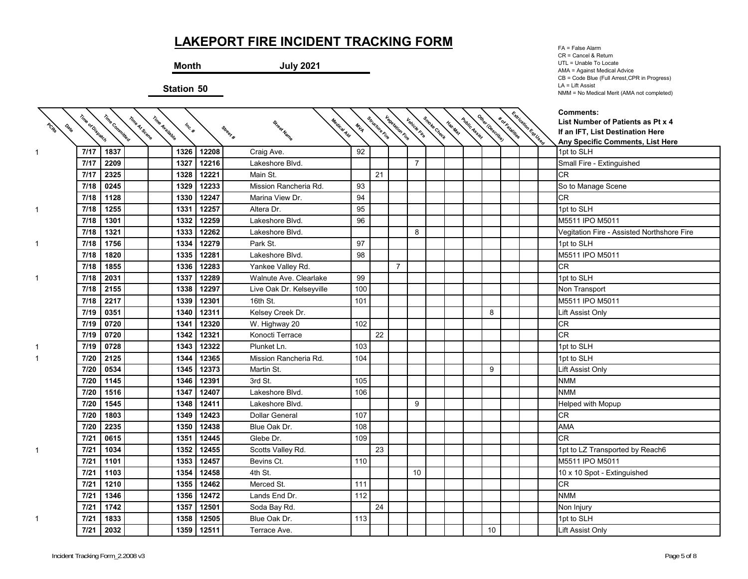↸

**Month July 2021**

**Station 50**

↸

FA = False Alarm CR = Cancel & Return UTL = Unable To Locate AMA = Against Medical Advice CB = Code Blue (Full Arrest,CPR in Progress) LA = Lift Assist NMM = No Medical Merit (AMA not completed)

 $\overline{\phantom{0}}$ 

| PORT | Time of Dispatch | Time Committed | Time Available<br>Time At Scene | Inc. # |            | Medical Aid<br>Street Name<br>Street # | MIA | Structure Fire | <b>Vegetation Fire</b> | Vehicle Fire   | Smoke Check | Haz.Mar | Public Assist | Other IDescribe) | * of Fatalities | Extrication Est Used | <b>Comments:</b><br>List Number of Patients as Pt x 4<br>If an IFT, List Destination Here<br>Any Specific Comments, List Here |
|------|------------------|----------------|---------------------------------|--------|------------|----------------------------------------|-----|----------------|------------------------|----------------|-------------|---------|---------------|------------------|-----------------|----------------------|-------------------------------------------------------------------------------------------------------------------------------|
| 1    | 7/17             | 1837           |                                 | 1326   | 12208      | Craig Ave.                             | 92  |                |                        |                |             |         |               |                  |                 |                      | 1pt to SLH                                                                                                                    |
|      | 7/17             | 2209           |                                 | 1327   | 12216      | Lakeshore Blvd.                        |     |                |                        | $\overline{7}$ |             |         |               |                  |                 |                      | Small Fire - Extinguished                                                                                                     |
|      | 7/17             | 2325           |                                 | 1328   | 12221      | Main St.                               |     | 21             |                        |                |             |         |               |                  |                 |                      | <b>CR</b>                                                                                                                     |
|      | 7/18             | 0245           |                                 | 1329   | 12233      | Mission Rancheria Rd.                  | 93  |                |                        |                |             |         |               |                  |                 |                      | So to Manage Scene                                                                                                            |
|      | 7/18             | 1128           |                                 | 1330   | 12247      | Marina View Dr.                        | 94  |                |                        |                |             |         |               |                  |                 |                      | <b>CR</b>                                                                                                                     |
| 1    | 7/18             | 1255           |                                 | 1331   | 12257      | Altera Dr.                             | 95  |                |                        |                |             |         |               |                  |                 |                      | 1pt to SLH                                                                                                                    |
|      | 7/18             | 1301           |                                 | 1332   | 12259      | Lakeshore Blvd.                        | 96  |                |                        |                |             |         |               |                  |                 |                      | M5511 IPO M5011                                                                                                               |
|      | 7/18             | 1321           |                                 | 1333   | 12262      | Lakeshore Blvd.                        |     |                |                        | 8              |             |         |               |                  |                 |                      | Vegitation Fire - Assisted Northshore Fire                                                                                    |
|      | 7/18             | 1756           |                                 | 1334   | 12279      | Park St.                               | 97  |                |                        |                |             |         |               |                  |                 |                      | 1pt to SLH                                                                                                                    |
|      | 7/18             | 1820           |                                 | 1335   | 12281      | Lakeshore Blvd.                        | 98  |                |                        |                |             |         |               |                  |                 |                      | M5511 IPO M5011                                                                                                               |
|      | 7/18             | 1855           |                                 | 1336   | 12283      | Yankee Valley Rd.                      |     |                | $\overline{7}$         |                |             |         |               |                  |                 |                      | <b>CR</b>                                                                                                                     |
|      | 7/18             | 2031           |                                 | 1337   | 12289      | Walnute Ave. Clearlake                 | 99  |                |                        |                |             |         |               |                  |                 |                      | 1pt to SLH                                                                                                                    |
|      | 7/18             | 2155           |                                 | 1338   | 12297      | Live Oak Dr. Kelseyville               | 100 |                |                        |                |             |         |               |                  |                 |                      | Non Transport                                                                                                                 |
|      | 7/18             | 2217           |                                 | 1339   | 12301      | 16th St.                               | 101 |                |                        |                |             |         |               |                  |                 |                      | M5511 IPO M5011                                                                                                               |
|      | 7/19             | 0351           |                                 | 1340   | 12311      | Kelsey Creek Dr.                       |     |                |                        |                |             |         |               | 8                |                 |                      | <b>Lift Assist Only</b>                                                                                                       |
|      | 7/19             | 0720           |                                 | 1341   | 12320      | W. Highway 20                          | 102 |                |                        |                |             |         |               |                  |                 |                      | <b>CR</b>                                                                                                                     |
|      | 7/19             | 0720           |                                 | 1342   | 12321      | Konocti Terrace                        |     | 22             |                        |                |             |         |               |                  |                 |                      | <b>CR</b>                                                                                                                     |
|      | 7/19             | 0728           |                                 | 1343   | 12322      | Plunket Ln.                            | 103 |                |                        |                |             |         |               |                  |                 |                      | 1pt to SLH                                                                                                                    |
|      | 7/20             | 2125           |                                 | 1344   | 12365      | Mission Rancheria Rd.                  | 104 |                |                        |                |             |         |               |                  |                 |                      | 1pt to SLH                                                                                                                    |
|      | 7/20             | 0534           |                                 | 1345   | 12373      | Martin St.                             |     |                |                        |                |             |         |               | 9                |                 |                      | Lift Assist Only                                                                                                              |
|      | 7/20             | 1145           |                                 | 1346   | 12391      | 3rd St.                                | 105 |                |                        |                |             |         |               |                  |                 |                      | <b>NMM</b>                                                                                                                    |
|      | 7/20             | 1516           |                                 | 1347   | 12407      | Lakeshore Blvd.                        | 106 |                |                        |                |             |         |               |                  |                 |                      | <b>NMM</b>                                                                                                                    |
|      | 7/20             | 1545           |                                 | 1348   | 12411      | Lakeshore Blvd.                        |     |                |                        | 9              |             |         |               |                  |                 |                      | <b>Helped with Mopup</b>                                                                                                      |
|      | 7/20             | 1803           |                                 | 1349   | 12423      | <b>Dollar General</b>                  | 107 |                |                        |                |             |         |               |                  |                 |                      | <b>CR</b>                                                                                                                     |
|      | 7/20             | 2235           |                                 | 1350   | 12438      | Blue Oak Dr.                           | 108 |                |                        |                |             |         |               |                  |                 |                      | <b>AMA</b>                                                                                                                    |
|      | 7/21             | 0615           |                                 | 1351   | 12445      | Glebe Dr.                              | 109 |                |                        |                |             |         |               |                  |                 |                      | <b>CR</b>                                                                                                                     |
|      | 7/21             | 1034           |                                 | 1352   | 12455      | Scotts Valley Rd.                      |     | 23             |                        |                |             |         |               |                  |                 |                      | 1pt to LZ Transported by Reach6                                                                                               |
|      | 7/21             | 1101           |                                 | 1353   | 12457      | Bevins Ct.                             | 110 |                |                        |                |             |         |               |                  |                 |                      | M5511 IPO M5011                                                                                                               |
|      | 7/21             | 1103           |                                 | 1354   | 12458      | 4th St.                                |     |                |                        | 10             |             |         |               |                  |                 |                      | 10 x 10 Spot - Extinguished                                                                                                   |
|      | 7/21             | 1210           |                                 | 1355   | 12462      | Merced St.                             | 111 |                |                        |                |             |         |               |                  |                 |                      | <b>CR</b>                                                                                                                     |
|      | 7/21             | 1346           |                                 | 1356   | 12472      | Lands End Dr.                          | 112 |                |                        |                |             |         |               |                  |                 |                      | <b>NMM</b>                                                                                                                    |
|      | 7/21             | 1742           |                                 | 1357   | 12501      | Soda Bay Rd.                           |     | 24             |                        |                |             |         |               |                  |                 |                      | Non Injury                                                                                                                    |
| 1    | 7/21             | 1833           |                                 | 1358   | 12505      | Blue Oak Dr.                           | 113 |                |                        |                |             |         |               |                  |                 |                      | 1pt to SLH                                                                                                                    |
|      | 7/21             | 2032           |                                 |        | 1359 12511 | Terrace Ave.                           |     |                |                        |                |             |         |               | 10               |                 |                      | Lift Assist Only                                                                                                              |

1

 $\overline{\phantom{0}}$ 

↸

↸

1

1

1

1

1

1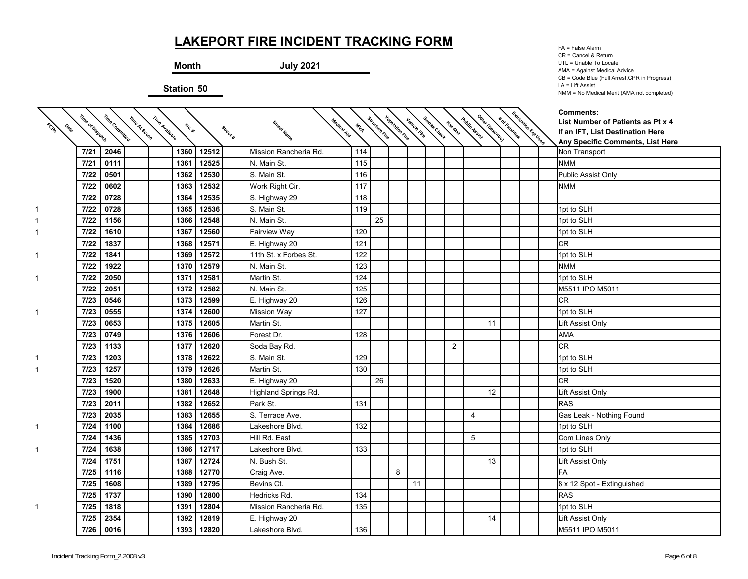**Month July 2021**

**Station 50**

↸

FA = False Alarm CR = Cancel & Return UTL = Unable To Locate AMA = Against Medical Advice CB = Code Blue (Full Arrest,CPR in Progress) LA = Lift Assist NMM = No Medical Merit (AMA not completed)

╰

| PORT | Time of Dispatch | Time Committed | Time Avallable<br>Time At Scene | Inc. # |            | Medical Aid             | MILA | Structure Fire | <b>Vagelation File</b> |    | kentura dinasa kentur dan dinasa dinasa dinasa.<br>Kentura dinasa kentur dan dinasa dinasa |   |    | <b>Korkaldings</b> | Extrication Est Used | Comments:<br>List Number of Patients as Pt x 4                       |
|------|------------------|----------------|---------------------------------|--------|------------|-------------------------|------|----------------|------------------------|----|--------------------------------------------------------------------------------------------|---|----|--------------------|----------------------|----------------------------------------------------------------------|
|      |                  |                |                                 |        |            | Street Name<br>Street # |      |                |                        |    |                                                                                            |   |    |                    |                      | If an IFT, List Destination Here<br>Any Specific Comments, List Here |
|      | 7/21             | 2046           |                                 | 1360   | 12512      | Mission Rancheria Rd.   | 114  |                |                        |    |                                                                                            |   |    |                    |                      | Non Transport                                                        |
|      | 7/21             | 0111           |                                 | 1361   | 12525      | N. Main St.             | 115  |                |                        |    |                                                                                            |   |    |                    |                      | <b>NMM</b>                                                           |
|      | 7/22             | 0501           |                                 | 1362   | 12530      | S. Main St.             | 116  |                |                        |    |                                                                                            |   |    |                    |                      | Public Assist Only                                                   |
|      | 7/22             | 0602           |                                 | 1363   | 12532      | Work Right Cir.         | 117  |                |                        |    |                                                                                            |   |    |                    |                      | <b>NMM</b>                                                           |
|      | 7/22             | 0728           |                                 | 1364   | 12535      | S. Highway 29           | 118  |                |                        |    |                                                                                            |   |    |                    |                      |                                                                      |
|      | 7/22             | 0728           |                                 | 1365   | 12536      | S. Main St.             | 119  |                |                        |    |                                                                                            |   |    |                    |                      | 1pt to SLH                                                           |
|      | 7/22             | 1156           |                                 | 1366   | 12548      | N. Main St.             |      | 25             |                        |    |                                                                                            |   |    |                    |                      | 1pt to SLH                                                           |
|      | 7/22             | 1610           |                                 | 1367   | 12560      | Fairview Way            | 120  |                |                        |    |                                                                                            |   |    |                    |                      | 1pt to SLH                                                           |
|      | 7/22             | 1837           |                                 | 1368   | 12571      | E. Highway 20           | 121  |                |                        |    |                                                                                            |   |    |                    |                      | <b>CR</b>                                                            |
|      | 7/22             | 1841           |                                 | 1369   | 12572      | 11th St. x Forbes St.   | 122  |                |                        |    |                                                                                            |   |    |                    |                      | 1pt to SLH                                                           |
|      | 7/22             | 1922           |                                 | 1370   | 12579      | N. Main St.             | 123  |                |                        |    |                                                                                            |   |    |                    |                      | <b>NMM</b>                                                           |
| 1    | 7/22             | 2050           |                                 | 1371   | 12581      | Martin St.              | 124  |                |                        |    |                                                                                            |   |    |                    |                      | 1pt to SLH                                                           |
|      | 7/22             | 2051           |                                 | 1372   | 12582      | N. Main St.             | 125  |                |                        |    |                                                                                            |   |    |                    |                      | M5511 IPO M5011                                                      |
|      | 7/23             | 0546           |                                 | 1373   | 12599      | E. Highway 20           | 126  |                |                        |    |                                                                                            |   |    |                    |                      | <b>CR</b>                                                            |
|      | 7/23             | 0555           |                                 | 1374   | 12600      | <b>Mission Way</b>      | 127  |                |                        |    |                                                                                            |   |    |                    |                      | 1pt to SLH                                                           |
|      | 7/23             | 0653           |                                 | 1375   | 12605      | Martin St.              |      |                |                        |    |                                                                                            |   | 11 |                    |                      | Lift Assist Only                                                     |
|      | 7/23             | 0749           |                                 | 1376   | 12606      | Forest Dr.              | 128  |                |                        |    |                                                                                            |   |    |                    |                      | <b>AMA</b>                                                           |
|      | 7/23             | 1133           |                                 | 1377   | 12620      | Soda Bay Rd.            |      |                |                        |    | 2                                                                                          |   |    |                    |                      | CR                                                                   |
|      | 7/23             | 1203           |                                 | 1378   | 12622      | S. Main St.             | 129  |                |                        |    |                                                                                            |   |    |                    |                      | 1pt to SLH                                                           |
|      | 7/23             | 1257           |                                 | 1379   | 12626      | Martin St.              | 130  |                |                        |    |                                                                                            |   |    |                    |                      | 1pt to SLH                                                           |
|      | 7/23             | 1520           |                                 | 1380   | 12633      | E. Highway 20           |      | 26             |                        |    |                                                                                            |   |    |                    |                      | <b>CR</b>                                                            |
|      | 7/23             | 1900           |                                 | 1381   | 12648      | Highland Springs Rd.    |      |                |                        |    |                                                                                            |   | 12 |                    |                      | Lift Assist Only                                                     |
|      | 7/23             | 2011           |                                 | 1382   | 12652      | Park St.                | 131  |                |                        |    |                                                                                            |   |    |                    |                      | <b>RAS</b>                                                           |
|      | 7/23             | 2035           |                                 | 1383   | 12655      | S. Terrace Ave.         |      |                |                        |    |                                                                                            | 4 |    |                    |                      | Gas Leak - Nothing Found                                             |
| 1.   | 7/24             | 1100           |                                 | 1384   | 12686      | Lakeshore Blvd.         | 132  |                |                        |    |                                                                                            |   |    |                    |                      | 1pt to SLH                                                           |
|      | 7/24             | 1436           |                                 | 1385   | 12703      | Hill Rd. East           |      |                |                        |    |                                                                                            | 5 |    |                    |                      | Com Lines Only                                                       |
| 1.   | 7/24             | 1638           |                                 | 1386   | 12717      | Lakeshore Blvd.         | 133  |                |                        |    |                                                                                            |   |    |                    |                      | 1pt to SLH                                                           |
|      | 7/24             | 1751           |                                 | 1387   | 12724      | N. Bush St.             |      |                |                        |    |                                                                                            |   | 13 |                    |                      | Lift Assist Only                                                     |
|      | 7/25             | 1116           |                                 | 1388   | 12770      | Craig Ave.              |      |                | 8                      |    |                                                                                            |   |    |                    |                      | <b>FA</b>                                                            |
|      | 7/25             | 1608           |                                 | 1389   | 12795      | Bevins Ct.              |      |                |                        | 11 |                                                                                            |   |    |                    |                      | 8 x 12 Spot - Extinguished                                           |
|      | 7/25             | 1737           |                                 | 1390   | 12800      | Hedricks Rd.            | 134  |                |                        |    |                                                                                            |   |    |                    |                      | <b>RAS</b>                                                           |
| 1.   | 7/25             | 1818           |                                 | 1391   | 12804      | Mission Rancheria Rd.   | 135  |                |                        |    |                                                                                            |   |    |                    |                      | 1pt to SLH                                                           |
|      | 7/25             | 2354           |                                 | 1392   | 12819      | E. Highway 20           |      |                |                        |    |                                                                                            |   | 14 |                    |                      | Lift Assist Only                                                     |
|      | 7/26             | 0016           |                                 |        | 1393 12820 | Lakeshore Blvd.         | 136  |                |                        |    |                                                                                            |   |    |                    |                      | M5511 IPO M5011                                                      |

1

1

1

1

1

1

1

1

1

1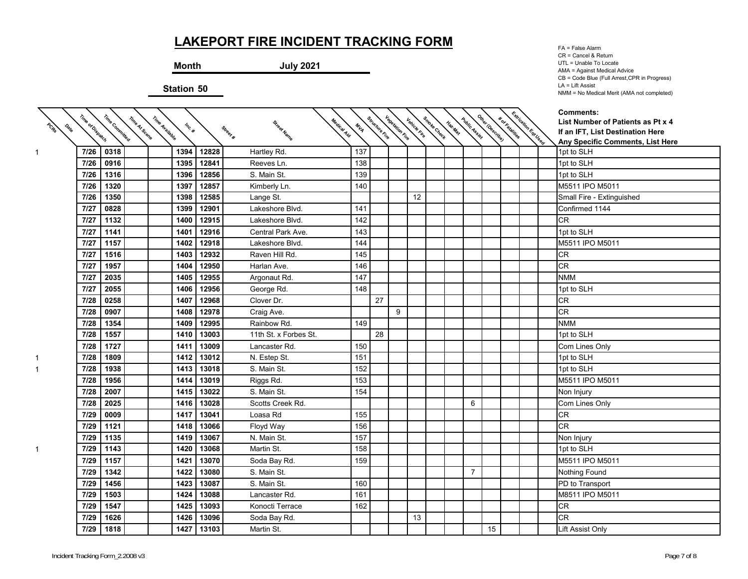$\diagup$ 

**Month July 2021**

**Station 50**

↸

FA = False Alarm CR = Cancel & Return UTL = Unable To Locate AMA = Against Medical Advice CB = Code Blue (Full Arrest,CPR in Progress) LA = Lift Assist NMM = No Medical Merit (AMA not completed)

| PCRS | Time of Dispatch | Time Committed | Time Af Scene<br>Time Avallable | Inc. # |       | Street Name<br>Street # | Medical Aid<br>MIA | Structure trie | kanalista kanalista didan kanalista kanalista kanalista.<br>Kanalista kanalista kanalista kanalista kanalista kanalista. |    |  |                |    | <b>Korkalalilles</b> | Extraction Est User | <b>Comments:</b><br>List Number of Patients as Pt x 4<br>If an IFT, List Destination Here |
|------|------------------|----------------|---------------------------------|--------|-------|-------------------------|--------------------|----------------|--------------------------------------------------------------------------------------------------------------------------|----|--|----------------|----|----------------------|---------------------|-------------------------------------------------------------------------------------------|
|      |                  |                |                                 |        |       |                         |                    |                |                                                                                                                          |    |  |                |    |                      |                     | Any Specific Comments, List Here                                                          |
| 1.   | 7/26             | 0318           |                                 | 1394   | 12828 | Hartley Rd.             | 137                |                |                                                                                                                          |    |  |                |    |                      |                     | 1pt to SLH                                                                                |
|      | 7/26             | 0916           |                                 | 1395   | 12841 | Reeves Ln.              | 138                |                |                                                                                                                          |    |  |                |    |                      |                     | 1pt to SLH                                                                                |
|      | 7/26             | 1316           |                                 | 1396   | 12856 | S. Main St.             | 139                |                |                                                                                                                          |    |  |                |    |                      |                     | 1pt to SLH                                                                                |
|      | 7/26             | 1320           |                                 | 1397   | 12857 | Kimberly Ln.            | 140                |                |                                                                                                                          |    |  |                |    |                      |                     | M5511 IPO M5011                                                                           |
|      | 7/26             | 1350           |                                 | 1398   | 12585 | Lange St.               |                    |                |                                                                                                                          | 12 |  |                |    |                      |                     | Small Fire - Extinguished                                                                 |
|      | 7/27             | 0828           |                                 | 1399   | 12901 | Lakeshore Blvd.         | 141                |                |                                                                                                                          |    |  |                |    |                      |                     | Confirmed 1144                                                                            |
|      | 7/27             | 1132           |                                 | 1400   | 12915 | Lakeshore Blvd.         | 142                |                |                                                                                                                          |    |  |                |    |                      |                     | <b>CR</b>                                                                                 |
|      | 7/27             | 1141           |                                 | 1401   | 12916 | Central Park Ave.       | 143                |                |                                                                                                                          |    |  |                |    |                      |                     | 1pt to SLH                                                                                |
|      | 7/27             | 1157           |                                 | 1402   | 12918 | Lakeshore Blvd.         | 144                |                |                                                                                                                          |    |  |                |    |                      |                     | M5511 IPO M5011                                                                           |
|      | 7/27             | 1516           |                                 | 1403   | 12932 | Raven Hill Rd.          | 145                |                |                                                                                                                          |    |  |                |    |                      |                     | CR                                                                                        |
|      | 7/27             | 1957           |                                 | 1404   | 12950 | Harlan Ave.             | 146                |                |                                                                                                                          |    |  |                |    |                      |                     | <b>CR</b>                                                                                 |
|      | 7/27             | 2035           |                                 | 1405   | 12955 | Argonaut Rd.            | 147                |                |                                                                                                                          |    |  |                |    |                      |                     | <b>NMM</b>                                                                                |
|      | 7/27             | 2055           |                                 | 1406   | 12956 | George Rd.              | 148                |                |                                                                                                                          |    |  |                |    |                      |                     | 1pt to SLH                                                                                |
|      | 7/28             | 0258           |                                 | 1407   | 12968 | Clover Dr.              |                    | 27             |                                                                                                                          |    |  |                |    |                      |                     | CR                                                                                        |
|      | 7/28             | 0907           |                                 | 1408   | 12978 | Craig Ave.              |                    |                | 9                                                                                                                        |    |  |                |    |                      |                     | CR                                                                                        |
|      | 7/28             | 1354           |                                 | 1409   | 12995 | Rainbow Rd.             | 149                |                |                                                                                                                          |    |  |                |    |                      |                     | <b>NMM</b>                                                                                |
|      | 7/28             | 1557           |                                 | 1410   | 13003 | 11th St. x Forbes St.   |                    | 28             |                                                                                                                          |    |  |                |    |                      |                     | 1pt to SLH                                                                                |
|      | 7/28             | 1727           |                                 | 1411   | 13009 | Lancaster Rd.           | 150                |                |                                                                                                                          |    |  |                |    |                      |                     | Com Lines Only                                                                            |
|      | 7/28             | 1809           |                                 | 1412   | 13012 | N. Estep St.            | 151                |                |                                                                                                                          |    |  |                |    |                      |                     | 1pt to SLH                                                                                |
|      | 7/28             | 1938           |                                 | 1413   | 13018 | S. Main St.             | 152                |                |                                                                                                                          |    |  |                |    |                      |                     | 1pt to SLH                                                                                |
|      | 7/28             | 1956           |                                 | 1414   | 13019 | Riggs Rd.               | 153                |                |                                                                                                                          |    |  |                |    |                      |                     | M5511 IPO M5011                                                                           |
|      | 7/28             | 2007           |                                 | 1415   | 13022 | S. Main St.             | 154                |                |                                                                                                                          |    |  |                |    |                      |                     | Non Injury                                                                                |
|      | 7/28             | 2025           |                                 | 1416   | 13028 | Scotts Creek Rd.        |                    |                |                                                                                                                          |    |  | 6              |    |                      |                     | Com Lines Only                                                                            |
|      | 7/29             | 0009           |                                 | 1417   | 13041 | Loasa Rd                | 155                |                |                                                                                                                          |    |  |                |    |                      |                     | <b>CR</b>                                                                                 |
|      | 7/29             | 1121           |                                 | 1418   | 13066 | Floyd Way               | 156                |                |                                                                                                                          |    |  |                |    |                      |                     | CR                                                                                        |
|      | 7/29             | 1135           |                                 | 1419   | 13067 | N. Main St.             | 157                |                |                                                                                                                          |    |  |                |    |                      |                     | Non Injury                                                                                |
|      | 7/29             | 1143           |                                 | 1420   | 13068 | Martin St.              | 158                |                |                                                                                                                          |    |  |                |    |                      |                     | 1pt to SLH                                                                                |
|      | 7/29             | 1157           |                                 | 1421   | 13070 | Soda Bay Rd.            | 159                |                |                                                                                                                          |    |  |                |    |                      |                     | M5511 IPO M5011                                                                           |
|      | 7/29             | 1342           |                                 | 1422   | 13080 | S. Main St.             |                    |                |                                                                                                                          |    |  | $\overline{7}$ |    |                      |                     | Nothing Found                                                                             |
|      | 7/29             | 1456           |                                 | 1423   | 13087 | S. Main St.             | 160                |                |                                                                                                                          |    |  |                |    |                      |                     | PD to Transport                                                                           |
|      | 7/29             | 1503           |                                 | 1424   | 13088 | Lancaster Rd.           | 161                |                |                                                                                                                          |    |  |                |    |                      |                     | M8511 IPO M5011                                                                           |
|      | 7/29             | 1547           |                                 | 1425   | 13093 | Konocti Terrace         | 162                |                |                                                                                                                          |    |  |                |    |                      |                     | <b>CR</b>                                                                                 |
|      | 7/29             | 1626           |                                 | 1426   | 13096 | Soda Bay Rd.            |                    |                |                                                                                                                          | 13 |  |                |    |                      |                     | CR                                                                                        |
|      | 7/29             | 1818           |                                 | 1427   | 13103 | Martin St.              |                    |                |                                                                                                                          |    |  |                | 15 |                      |                     | Lift Assist Only                                                                          |

↸

↸ Κ  $\diagup$ 

 $\overline{\phantom{0}}$ 

1

 $\overline{\phantom{0}}$ 

↸

Κ

↸

1

1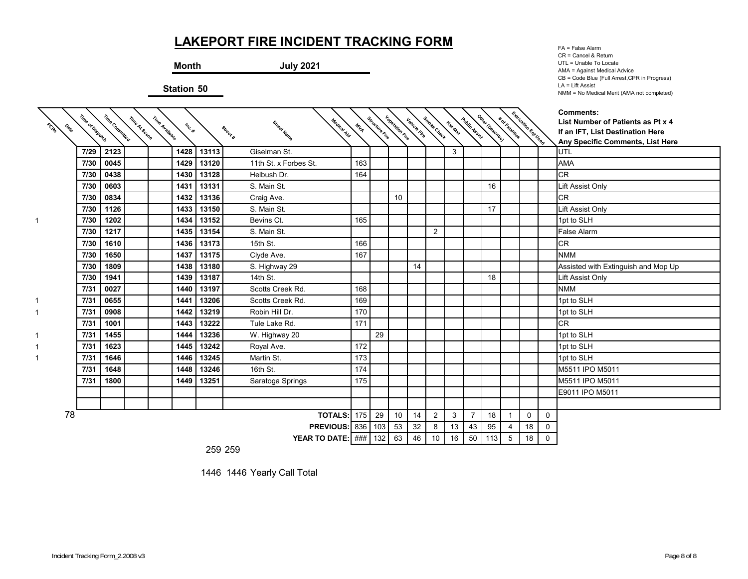╲

#### **Month July 2021**

**Station 50**

↸

FA = False Alarm CR = Cancel & Return UTL = Unable To Locate AMA = Against Medical Advice CB = Code Blue (Full Arrest,CPR in Progress) LA = Lift Assist NMM = No Medical Merit (AMA not completed)

| PODS<br>$\boldsymbol{\phi}_{\!\!\boldsymbol{\phi}_{\!\!\boldsymbol{\phi}}}$ | Time of Dispatch | Time Committeed | Time Avallable<br>Time At Scene | Inc. # |       | Medical Aid<br>Street Name<br>Street # | MILA | Structure Fire | <b>Vegetation Fire</b> | Vehicle Fire | Smoke Check    | Haz-Mat | Public Assistant | Other IDescribe) | * or katalities | Extrication Est User |             | <b>Comments:</b><br>List Number of Patients as Pt x 4<br>If an IFT, List Destination Here<br>Any Specific Comments, List Here |
|-----------------------------------------------------------------------------|------------------|-----------------|---------------------------------|--------|-------|----------------------------------------|------|----------------|------------------------|--------------|----------------|---------|------------------|------------------|-----------------|----------------------|-------------|-------------------------------------------------------------------------------------------------------------------------------|
|                                                                             | 7/29             | 2123            |                                 | 1428   | 13113 | Giselman St.                           |      |                |                        |              |                | 3       |                  |                  |                 |                      |             | UTL                                                                                                                           |
|                                                                             | 7/30             | 0045            |                                 | 1429   | 13120 | 11th St. x Forbes St.                  | 163  |                |                        |              |                |         |                  |                  |                 |                      |             | <b>AMA</b>                                                                                                                    |
|                                                                             | 7/30             | 0438            |                                 | 1430   | 13128 | Helbush Dr.                            | 164  |                |                        |              |                |         |                  |                  |                 |                      |             | <b>CR</b>                                                                                                                     |
|                                                                             | 7/30             | 0603            |                                 | 1431   | 13131 | S. Main St.                            |      |                |                        |              |                |         |                  | 16               |                 |                      |             | Lift Assist Only                                                                                                              |
|                                                                             | 7/30             | 0834            |                                 | 1432   | 13136 | Craig Ave.                             |      |                | 10                     |              |                |         |                  |                  |                 |                      |             | <b>CR</b>                                                                                                                     |
|                                                                             | 7/30             | 1126            |                                 | 1433   | 13150 | S. Main St.                            |      |                |                        |              |                |         |                  | 17               |                 |                      |             | Lift Assist Only                                                                                                              |
| 1                                                                           | 7/30             | 1202            |                                 | 1434   | 13152 | Bevins Ct.                             | 165  |                |                        |              |                |         |                  |                  |                 |                      |             | 1pt to SLH                                                                                                                    |
|                                                                             | 7/30             | 1217            |                                 | 1435   | 13154 | S. Main St.                            |      |                |                        |              | $\overline{2}$ |         |                  |                  |                 |                      |             | <b>False Alarm</b>                                                                                                            |
|                                                                             | 7/30             | 1610            |                                 | 1436   | 13173 | 15th St.                               | 166  |                |                        |              |                |         |                  |                  |                 |                      |             | <b>CR</b>                                                                                                                     |
|                                                                             | 7/30             | 1650            |                                 | 1437   | 13175 | Clyde Ave.                             | 167  |                |                        |              |                |         |                  |                  |                 |                      |             | <b>NMM</b>                                                                                                                    |
|                                                                             | 7/30             | 1809            |                                 | 1438   | 13180 | S. Highway 29                          |      |                |                        | 14           |                |         |                  |                  |                 |                      |             | Assisted with Extinguish and Mop Up                                                                                           |
|                                                                             | 7/30             | 1941            |                                 | 1439   | 13187 | 14th St.                               |      |                |                        |              |                |         |                  | 18               |                 |                      |             | Lift Assist Only                                                                                                              |
|                                                                             | 7/31             | 0027            |                                 | 1440   | 13197 | Scotts Creek Rd.                       | 168  |                |                        |              |                |         |                  |                  |                 |                      |             | <b>NMM</b>                                                                                                                    |
| 1.                                                                          | 7/31             | 0655            |                                 | 1441   | 13206 | Scotts Creek Rd.                       | 169  |                |                        |              |                |         |                  |                  |                 |                      |             | 1pt to SLH                                                                                                                    |
|                                                                             | 7/31             | 0908            |                                 | 1442   | 13219 | Robin Hill Dr.                         | 170  |                |                        |              |                |         |                  |                  |                 |                      |             | 1pt to SLH                                                                                                                    |
|                                                                             | 7/31             | 1001            |                                 | 1443   | 13222 | Tule Lake Rd.                          | 171  |                |                        |              |                |         |                  |                  |                 |                      |             | <b>CR</b>                                                                                                                     |
|                                                                             | 7/31             | 1455            |                                 | 1444   | 13236 | W. Highway 20                          |      | 29             |                        |              |                |         |                  |                  |                 |                      |             | 1pt to SLH                                                                                                                    |
|                                                                             | 7/31             | 1623            |                                 | 1445   | 13242 | Royal Ave.                             | 172  |                |                        |              |                |         |                  |                  |                 |                      |             | 1pt to SLH                                                                                                                    |
|                                                                             | 7/31             | 1646            |                                 | 1446   | 13245 | Martin St.                             | 173  |                |                        |              |                |         |                  |                  |                 |                      |             | 1pt to SLH                                                                                                                    |
|                                                                             | 7/31             | 1648            |                                 | 1448   | 13246 | 16th St.                               | 174  |                |                        |              |                |         |                  |                  |                 |                      |             | M5511 IPO M5011                                                                                                               |
|                                                                             | 7/31             | 1800            |                                 | 1449   | 13251 | Saratoga Springs                       | 175  |                |                        |              |                |         |                  |                  |                 |                      |             | M5511 IPO M5011                                                                                                               |
|                                                                             |                  |                 |                                 |        |       |                                        |      |                |                        |              |                |         |                  |                  |                 |                      |             | E9011 IPO M5011                                                                                                               |
|                                                                             |                  |                 |                                 |        |       |                                        |      |                |                        |              |                |         |                  |                  |                 |                      |             |                                                                                                                               |
| 78                                                                          |                  |                 |                                 |        |       | <b>TOTALS: 175</b>                     |      | 29             | 10                     | 14           | $\overline{2}$ | 3       | 7                | 18               |                 | 0                    | $\mathbf 0$ |                                                                                                                               |
|                                                                             |                  |                 |                                 |        |       | PREVIOUS: 836   103                    |      |                | 53                     | 32           | 8              | 13      | 43               | 95               | 4               | 18                   | 0           |                                                                                                                               |
|                                                                             |                  |                 |                                 |        |       | <b>YEAR TO DATE:</b> ### 132           |      |                | 63                     | 46           | 10             | 16      | 50               | 113              | 5               | 18                   | $\Omega$    |                                                                                                                               |

↸ ↸  $\overline{\phantom{0}}$ 

 $\overline{\phantom{0}}$ 

259 259

1446 1446 Yearly Call Total

1

 $\diagup$ 

↸

↸

1

1

1

1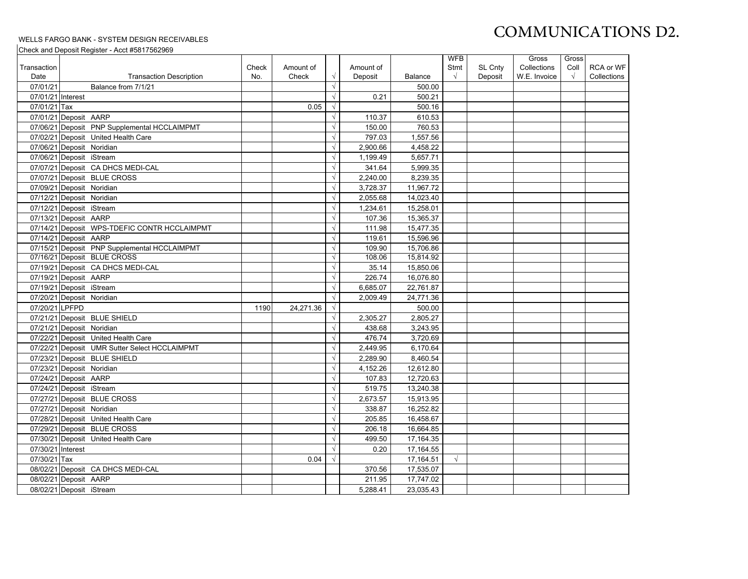# COMMUNICATIONS D2.

#### WELLS FARGO BANK - SYSTEM DESIGN RECEIVABLES

Check and Deposit Register - Acct #5817562969

|                   |                                               |       |           |            |           |                | <b>WFB</b> |                | Gross        | Gross      |             |
|-------------------|-----------------------------------------------|-------|-----------|------------|-----------|----------------|------------|----------------|--------------|------------|-------------|
| Transaction       |                                               | Check | Amount of |            | Amount of |                | Stmt       | <b>SL Cnty</b> | Collections  | Coll       | RCA or WF   |
| Date              | <b>Transaction Description</b>                | No.   | Check     | $\sqrt{ }$ | Deposit   | <b>Balance</b> | $\sqrt{ }$ | Deposit        | W.E. Invoice | $\sqrt{ }$ | Collections |
| 07/01/21          | Balance from 7/1/21                           |       |           | $\sqrt{ }$ |           | 500.00         |            |                |              |            |             |
| 07/01/21 Interest |                                               |       |           | $\sqrt{ }$ | 0.21      | 500.21         |            |                |              |            |             |
| 07/01/21 Tax      |                                               |       | 0.05      | $\sqrt{ }$ |           | 500.16         |            |                |              |            |             |
|                   | 07/01/21 Deposit AARP                         |       |           | $\sqrt{ }$ | 110.37    | 610.53         |            |                |              |            |             |
|                   | 07/06/21 Deposit PNP Supplemental HCCLAIMPMT  |       |           | $\sqrt{ }$ | 150.00    | 760.53         |            |                |              |            |             |
|                   | 07/02/21 Deposit United Health Care           |       |           | $\sqrt{ }$ | 797.03    | 1,557.56       |            |                |              |            |             |
|                   | 07/06/21 Deposit Noridian                     |       |           | $\sqrt{ }$ | 2,900.66  | 4,458.22       |            |                |              |            |             |
|                   | 07/06/21 Deposit iStream                      |       |           | $\sqrt{ }$ | 1,199.49  | 5,657.71       |            |                |              |            |             |
|                   | 07/07/21 Deposit CA DHCS MEDI-CAL             |       |           | $\sqrt{ }$ | 341.64    | 5,999.35       |            |                |              |            |             |
|                   | 07/07/21 Deposit BLUE CROSS                   |       |           | $\sqrt{ }$ | 2,240.00  | 8,239.35       |            |                |              |            |             |
|                   | 07/09/21 Deposit Noridian                     |       |           | $\sqrt{ }$ | 3,728.37  | 11,967.72      |            |                |              |            |             |
|                   | 07/12/21 Deposit Noridian                     |       |           | $\sqrt{ }$ | 2,055.68  | 14,023.40      |            |                |              |            |             |
|                   | 07/12/21 Deposit iStream                      |       |           | $\sqrt{ }$ | 1,234.61  | 15,258.01      |            |                |              |            |             |
|                   | 07/13/21 Deposit AARP                         |       |           | $\sqrt{ }$ | 107.36    | 15.365.37      |            |                |              |            |             |
|                   | 07/14/21 Deposit WPS-TDEFIC CONTR HCCLAIMPMT  |       |           | $\sqrt{ }$ | 111.98    | 15,477.35      |            |                |              |            |             |
|                   | 07/14/21 Deposit AARP                         |       |           | $\sqrt{ }$ | 119.61    | 15,596.96      |            |                |              |            |             |
|                   | 07/15/21 Deposit PNP Supplemental HCCLAIMPMT  |       |           | $\sqrt{ }$ | 109.90    | 15,706.86      |            |                |              |            |             |
|                   | 07/16/21 Deposit BLUE CROSS                   |       |           | $\sqrt{ }$ | 108.06    | 15,814.92      |            |                |              |            |             |
|                   | 07/19/21 Deposit CA DHCS MEDI-CAL             |       |           | $\sqrt{ }$ | 35.14     | 15,850.06      |            |                |              |            |             |
|                   | 07/19/21 Deposit AARP                         |       |           | $\sqrt{ }$ | 226.74    | 16,076.80      |            |                |              |            |             |
|                   | 07/19/21 Deposit iStream                      |       |           | $\sqrt{ }$ | 6,685.07  | 22,761.87      |            |                |              |            |             |
|                   | 07/20/21 Deposit Noridian                     |       |           | $\sqrt{ }$ | 2,009.49  | 24,771.36      |            |                |              |            |             |
| 07/20/21 LPFPD    |                                               | 1190  | 24,271.36 | $\sqrt{ }$ |           | 500.00         |            |                |              |            |             |
|                   | 07/21/21 Deposit BLUE SHIELD                  |       |           | $\sqrt{ }$ | 2,305.27  | 2,805.27       |            |                |              |            |             |
|                   | 07/21/21 Deposit Noridian                     |       |           | $\sqrt{ }$ | 438.68    | 3,243.95       |            |                |              |            |             |
|                   | 07/22/21 Deposit United Health Care           |       |           | $\sqrt{ }$ | 476.74    | 3,720.69       |            |                |              |            |             |
|                   | 07/22/21 Deposit UMR Sutter Select HCCLAIMPMT |       |           | $\sqrt{ }$ | 2,449.95  | 6,170.64       |            |                |              |            |             |
|                   | 07/23/21 Deposit BLUE SHIELD                  |       |           | $\sqrt{ }$ | 2,289.90  | 8,460.54       |            |                |              |            |             |
|                   | 07/23/21 Deposit Noridian                     |       |           | $\sqrt{ }$ | 4,152.26  | 12,612.80      |            |                |              |            |             |
|                   | 07/24/21 Deposit AARP                         |       |           | $\sqrt{ }$ | 107.83    | 12,720.63      |            |                |              |            |             |
|                   | 07/24/21 Deposit iStream                      |       |           | $\sqrt{ }$ | 519.75    | 13,240.38      |            |                |              |            |             |
|                   | 07/27/21 Deposit BLUE CROSS                   |       |           | $\sqrt{ }$ | 2,673.57  | 15,913.95      |            |                |              |            |             |
|                   | 07/27/21 Deposit Noridian                     |       |           | $\sqrt{ }$ | 338.87    | 16,252.82      |            |                |              |            |             |
|                   | 07/28/21 Deposit United Health Care           |       |           | $\sqrt{ }$ | 205.85    | 16,458.67      |            |                |              |            |             |
|                   | 07/29/21 Deposit BLUE CROSS                   |       |           | $\sqrt{ }$ | 206.18    | 16,664.85      |            |                |              |            |             |
|                   | 07/30/21 Deposit United Health Care           |       |           | $\sqrt{ }$ | 499.50    | 17,164.35      |            |                |              |            |             |
| 07/30/21 Interest |                                               |       |           | $\sqrt{ }$ | 0.20      | 17,164.55      |            |                |              |            |             |
| 07/30/21 Tax      |                                               |       | 0.04      | $\sqrt{ }$ |           | 17,164.51      | $\sqrt{ }$ |                |              |            |             |
|                   | 08/02/21 Deposit CA DHCS MEDI-CAL             |       |           |            | 370.56    | 17,535.07      |            |                |              |            |             |
|                   | 08/02/21 Deposit AARP                         |       |           |            | 211.95    | 17,747.02      |            |                |              |            |             |
|                   | 08/02/21 Deposit iStream                      |       |           |            | 5.288.41  | 23,035.43      |            |                |              |            |             |
|                   |                                               |       |           |            |           |                |            |                |              |            |             |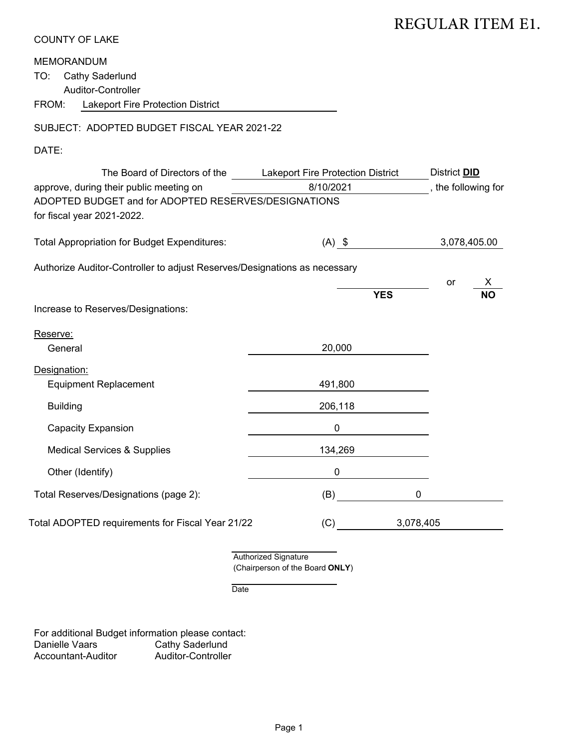| <b>COUNTY OF LAKE</b> |  |  |
|-----------------------|--|--|
|-----------------------|--|--|

#### MEMORANDUM

#### SUBJECT: ADOPTED BUDGET FISCAL YEAR 2021-22

#### DATE:

|                                                                                                                                                                |                                                                | REGULAR ITEM E1.                           |
|----------------------------------------------------------------------------------------------------------------------------------------------------------------|----------------------------------------------------------------|--------------------------------------------|
| <b>COUNTY OF LAKE</b>                                                                                                                                          |                                                                |                                            |
| <b>MEMORANDUM</b><br><b>Cathy Saderlund</b><br>TO:<br>Auditor-Controller<br>FROM:<br>Lakeport Fire Protection District                                         |                                                                |                                            |
| SUBJECT: ADOPTED BUDGET FISCAL YEAR 2021-22                                                                                                                    |                                                                |                                            |
| DATE:                                                                                                                                                          |                                                                |                                            |
| The Board of Directors of the<br>approve, during their public meeting on<br>ADOPTED BUDGET and for ADOPTED RESERVES/DESIGNATIONS<br>for fiscal year 2021-2022. | Lakeport Fire Protection District<br>8/10/2021                 | District <b>DID</b><br>, the following for |
| <b>Total Appropriation for Budget Expenditures:</b>                                                                                                            | $(A)$ \$                                                       | 3,078,405.00                               |
| Authorize Auditor-Controller to adjust Reserves/Designations as necessary                                                                                      |                                                                | X<br>or                                    |
| Increase to Reserves/Designations:                                                                                                                             | <b>YES</b>                                                     | ΝO                                         |
| Reserve:<br>General                                                                                                                                            | 20,000                                                         |                                            |
| Designation:<br><b>Equipment Replacement</b>                                                                                                                   | 491,800                                                        |                                            |
| <b>Building</b>                                                                                                                                                | 206,118                                                        |                                            |
| <b>Capacity Expansion</b>                                                                                                                                      | 0                                                              |                                            |
| <b>Medical Services &amp; Supplies</b>                                                                                                                         | 134,269                                                        |                                            |
| Other (Identify)                                                                                                                                               | 0                                                              |                                            |
| Total Reserves/Designations (page 2):                                                                                                                          | $\mathbf 0$<br>(B)                                             |                                            |
| Total ADOPTED requirements for Fiscal Year 21/22                                                                                                               | 3,078,405<br>(C)                                               |                                            |
|                                                                                                                                                                | <b>Authorized Signature</b><br>(Chairperson of the Board ONLY) |                                            |
| Date                                                                                                                                                           |                                                                |                                            |
| For additional Budget information please contact:<br>Danielle Vaars<br><b>Cathy Saderlund</b><br>Auditor-Controller<br>Accountant-Auditor                      |                                                                |                                            |
|                                                                                                                                                                | Page 1                                                         |                                            |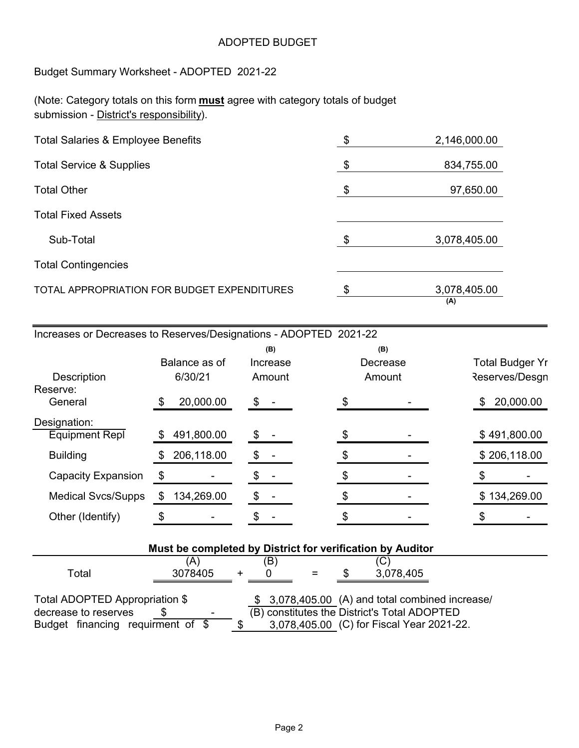#### ADOPTED BUDGET

Budget Summary Worksheet - ADOPTED 2021-22

(Note: Category totals on this form **must** agree with category totals of budget submission - District's responsibility).

| <b>Total Salaries &amp; Employee Benefits</b> | -\$ | 2,146,000.00        |
|-----------------------------------------------|-----|---------------------|
| <b>Total Service &amp; Supplies</b>           | \$  | 834,755.00          |
| <b>Total Other</b>                            | \$  | 97,650.00           |
| <b>Total Fixed Assets</b>                     |     |                     |
| Sub-Total                                     | \$  | 3,078,405.00        |
| <b>Total Contingencies</b>                    |     |                     |
| TOTAL APPROPRIATION FOR BUDGET EXPENDITURES   | \$  | 3,078,405.00<br>(A) |

| Increases or Decreases to Reserves/Designations - ADOPTED 2021-22 |  |  |
|-------------------------------------------------------------------|--|--|
|-------------------------------------------------------------------|--|--|

|                                |    | Balance as of |    | (B)<br>Increase |  | (B)<br>Decrease |    | <b>Total Budger Yr</b> |
|--------------------------------|----|---------------|----|-----------------|--|-----------------|----|------------------------|
| <b>Description</b><br>Reserve: |    | 6/30/21       |    | Amount          |  | Amount          |    | Reserves/Desgn         |
| General                        | \$ | 20,000.00     | \$ |                 |  |                 | \$ | 20,000.00              |
| Designation:                   |    |               |    |                 |  |                 |    |                        |
| <b>Equipment Repl</b>          | \$ | 491,800.00    | S  |                 |  |                 |    | \$491,800.00           |
| <b>Building</b>                | S  | 206,118.00    |    |                 |  |                 |    | \$206,118.00           |
| <b>Capacity Expansion</b>      | \$ |               |    |                 |  |                 |    |                        |
| <b>Medical Svcs/Supps</b>      |    | 134,269.00    |    |                 |  |                 |    | \$134,269.00           |
| Other (Identify)               | \$ |               |    |                 |  |                 |    |                        |

| Must be completed by District for verification by Auditor |         |  |     |  |  |                                                  |  |  |  |  |
|-----------------------------------------------------------|---------|--|-----|--|--|--------------------------------------------------|--|--|--|--|
|                                                           | (A)     |  | (B) |  |  | (C                                               |  |  |  |  |
| Total                                                     | 3078405 |  |     |  |  | 3,078,405                                        |  |  |  |  |
|                                                           |         |  |     |  |  |                                                  |  |  |  |  |
| Total ADOPTED Appropriation \$                            |         |  |     |  |  | \$ 3,078,405.00 (A) and total combined increase/ |  |  |  |  |
| decrease to reserves                                      |         |  |     |  |  | (B) constitutes the District's Total ADOPTED     |  |  |  |  |
| Budget financing requirment of \$                         |         |  |     |  |  | 3,078,405.00 (C) for Fiscal Year 2021-22.        |  |  |  |  |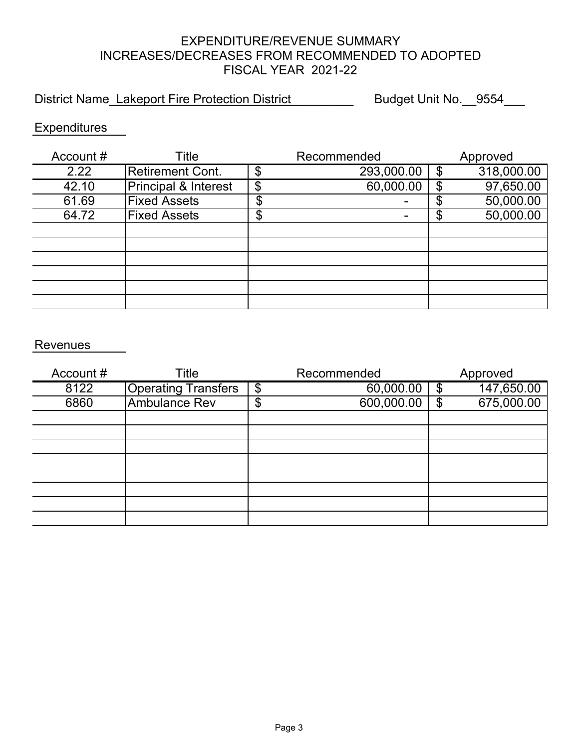### EXPENDITURE/REVENUE SUMMARY INCREASES/DECREASES FROM RECOMMENDED TO ADOPTED FISCAL YEAR 2021-22

District Name\_Lakeport Fire Protection District \_\_\_\_\_\_\_\_\_\_ Budget Unit No.\_\_9554\_\_\_

### **Expenditures**

| Account# | Title                           |         | Recommended |    | Approved   |
|----------|---------------------------------|---------|-------------|----|------------|
| 2.22     | <b>Retirement Cont.</b>         | \$      | 293,000.00  | \$ | 318,000.00 |
| 42.10    | <b>Principal &amp; Interest</b> | \$      | 60,000.00   |    | 97,650.00  |
| 61.69    | <b>Fixed Assets</b>             |         |             |    | 50,000.00  |
| 64.72    | <b>Fixed Assets</b>             | ጥ<br>۰D |             | Φ  | 50,000.00  |
|          |                                 |         |             |    |            |
|          |                                 |         |             |    |            |
|          |                                 |         |             |    |            |
|          |                                 |         |             |    |            |
|          |                                 |         |             |    |            |
|          |                                 |         |             |    |            |

#### Revenues

| Account # | Title                      | Recommended      | Approved         |
|-----------|----------------------------|------------------|------------------|
| 8122      | <b>Operating Transfers</b> | \$<br>60,000.00  | \$<br>147,650.00 |
| 6860      | <b>Ambulance Rev</b>       | \$<br>600,000.00 | \$<br>675,000.00 |
|           |                            |                  |                  |
|           |                            |                  |                  |
|           |                            |                  |                  |
|           |                            |                  |                  |
|           |                            |                  |                  |
|           |                            |                  |                  |
|           |                            |                  |                  |
|           |                            |                  |                  |